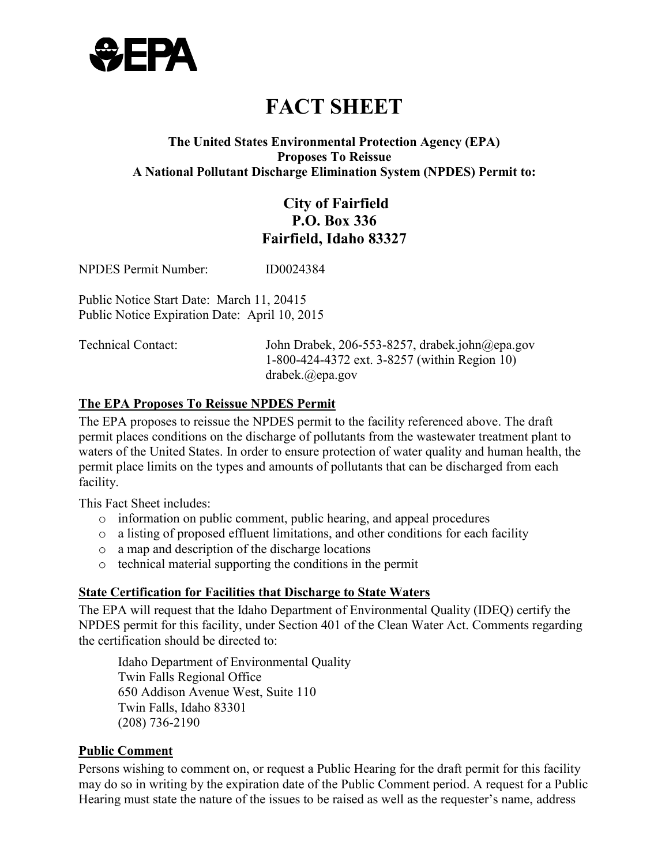

# **FACT SHEET**

#### **Proposes To Reissue A National Pollutant Discharge Elimination System (NPDES) Permit to: The United States Environmental Protection Agency (EPA)**

### **P.O. Box 336 City of Fairfield Fairfield, Idaho 83327**

NPDES Permit Number: ID0024384

 Public Notice Start Date: March 11, 20415 Public Notice Expiration Date: April 10, 2015

Technical Contact: John Drabek, 206-553-8257, drabek.john@epa.gov 1-800-424-4372 ext. 3-8257 (within Region 10) drabek.@epa.gov

#### **The EPA Proposes To Reissue NPDES Permit**

The EPA proposes to reissue the NPDES permit to the facility referenced above. The draft permit places conditions on the discharge of pollutants from the wastewater treatment plant to waters of the United States. In order to ensure protection of water quality and human health, the permit place limits on the types and amounts of pollutants that can be discharged from each facility.

This Fact Sheet includes:

- o information on public comment, public hearing, and appeal procedures
- o a listing of proposed effluent limitations, and other conditions for each facility
- o a map and description of the discharge locations
- o technical material supporting the conditions in the permit

#### **State Certification for Facilities that Discharge to State Waters**

 The EPA will request that the Idaho Department of Environmental Quality (IDEQ) certify the NPDES permit for this facility, under Section 401 of the Clean Water Act. Comments regarding the certification should be directed to:

 Idaho Department of Environmental Quality Twin Falls Regional Office 650 Addison Avenue West, Suite 110 Twin Falls, Idaho 83301 (208) 736-2190

#### **Public Comment**

Persons wishing to comment on, or request a Public Hearing for the draft permit for this facility may do so in writing by the expiration date of the Public Comment period. A request for a Public Hearing must state the nature of the issues to be raised as well as the requester's name, address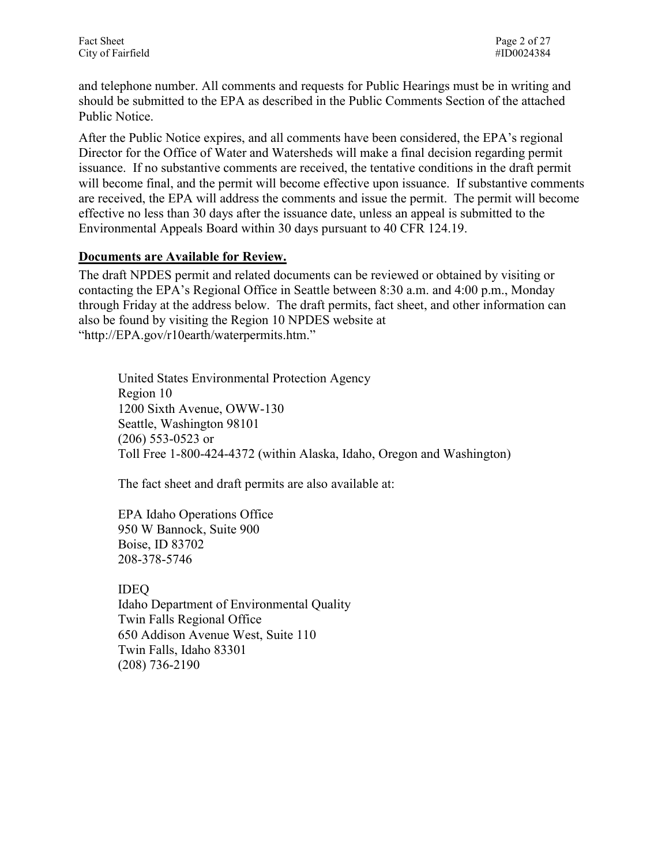and telephone number. All comments and requests for Public Hearings must be in writing and should be submitted to the EPA as described in the Public Comments Section of the attached Public Notice.

After the Public Notice expires, and all comments have been considered, the EPA's regional Director for the Office of Water and Watersheds will make a final decision regarding permit issuance. If no substantive comments are received, the tentative conditions in the draft permit will become final, and the permit will become effective upon issuance. If substantive comments are received, the EPA will address the comments and issue the permit. The permit will become effective no less than 30 days after the issuance date, unless an appeal is submitted to the Environmental Appeals Board within 30 days pursuant to 40 CFR 124.19.

#### **Documents are Available for Review.**

The draft NPDES permit and related documents can be reviewed or obtained by visiting or contacting the EPA's Regional Office in Seattle between 8:30 a.m. and 4:00 p.m., Monday through Friday at the address below. The draft permits, fact sheet, and other information can also be found by visiting the Region 10 NPDES website at "http://EPA.gov/r10earth/waterpermits.htm."

 (206) 553-0523 or United States Environmental Protection Agency Region 10 1200 Sixth Avenue, OWW-130 Seattle, Washington 98101 Toll Free 1-800-424-4372 (within Alaska, Idaho, Oregon and Washington)

The fact sheet and draft permits are also available at:

EPA Idaho Operations Office 950 W Bannock, Suite 900 Boise, ID 83702 208-378-5746

 IDEQ Idaho Department of Environmental Quality Twin Falls Regional Office 650 Addison Avenue West, Suite 110 Twin Falls, Idaho 83301 (208) 736-2190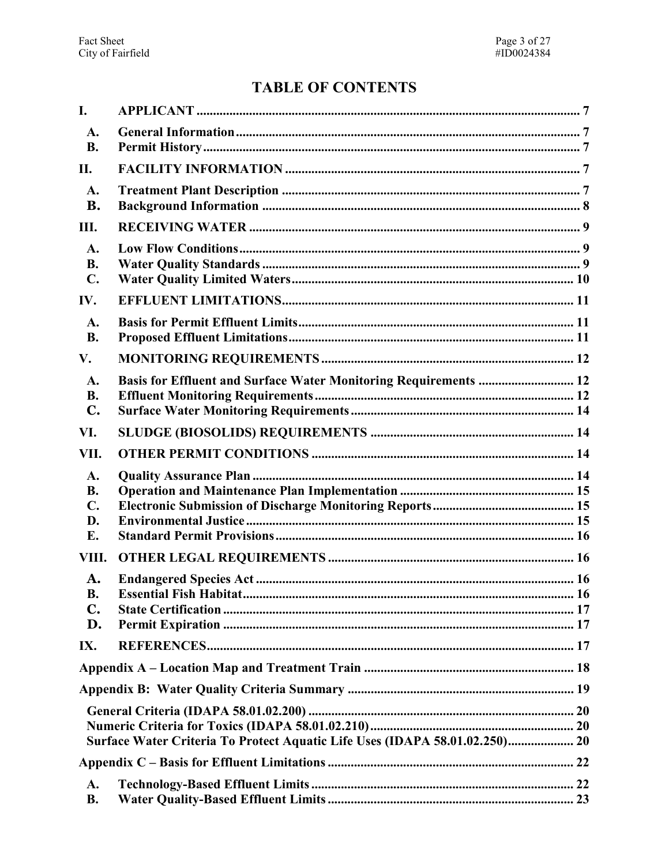# **TABLE OF CONTENTS**

| I.                                            |                                                                             |  |
|-----------------------------------------------|-----------------------------------------------------------------------------|--|
| A.<br><b>B.</b>                               |                                                                             |  |
| II.                                           |                                                                             |  |
| A.<br><b>B.</b>                               |                                                                             |  |
| Ш.                                            |                                                                             |  |
| A.<br><b>B.</b><br>$\mathbf{C}$ .             |                                                                             |  |
| IV.                                           |                                                                             |  |
| A.<br><b>B.</b>                               |                                                                             |  |
| V.                                            |                                                                             |  |
| A.<br><b>B.</b><br>$\mathbf{C}$ .             | Basis for Effluent and Surface Water Monitoring Requirements  12            |  |
| VI.                                           |                                                                             |  |
| VII.                                          |                                                                             |  |
| A.<br><b>B.</b><br>$\mathbf{C}$ .<br>D.<br>E. |                                                                             |  |
| VIII.                                         |                                                                             |  |
| A.<br><b>B.</b><br>$\mathbf{C}$ .<br>D.       |                                                                             |  |
| IX.                                           |                                                                             |  |
|                                               |                                                                             |  |
|                                               |                                                                             |  |
|                                               | Surface Water Criteria To Protect Aquatic Life Uses (IDAPA 58.01.02.250) 20 |  |
|                                               |                                                                             |  |
| A.<br><b>B.</b>                               |                                                                             |  |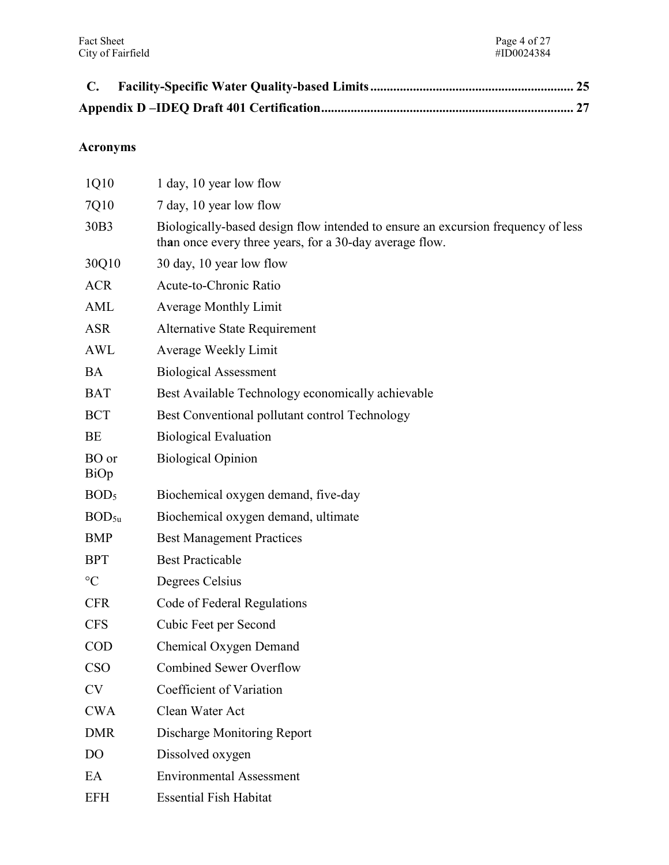| C. |  |
|----|--|
|    |  |

## **Acronyms**

| 1Q10              | 1 day, 10 year low flow                                                                                                                     |
|-------------------|---------------------------------------------------------------------------------------------------------------------------------------------|
| 7Q10              | 7 day, 10 year low flow                                                                                                                     |
| 30B3              | Biologically-based design flow intended to ensure an excursion frequency of less<br>than once every three years, for a 30-day average flow. |
| 30Q10             | 30 day, 10 year low flow                                                                                                                    |
| <b>ACR</b>        | Acute-to-Chronic Ratio                                                                                                                      |
| <b>AML</b>        | <b>Average Monthly Limit</b>                                                                                                                |
| <b>ASR</b>        | <b>Alternative State Requirement</b>                                                                                                        |
| <b>AWL</b>        | Average Weekly Limit                                                                                                                        |
| <b>BA</b>         | <b>Biological Assessment</b>                                                                                                                |
| <b>BAT</b>        | Best Available Technology economically achievable                                                                                           |
| <b>BCT</b>        | Best Conventional pollutant control Technology                                                                                              |
| BE                | <b>Biological Evaluation</b>                                                                                                                |
| BO or<br>BiOp     | <b>Biological Opinion</b>                                                                                                                   |
| BOD <sub>5</sub>  | Biochemical oxygen demand, five-day                                                                                                         |
| BOD <sub>5u</sub> | Biochemical oxygen demand, ultimate                                                                                                         |
| <b>BMP</b>        | <b>Best Management Practices</b>                                                                                                            |
| <b>BPT</b>        | <b>Best Practicable</b>                                                                                                                     |
| $\rm ^{\circ}C$   | Degrees Celsius                                                                                                                             |
| <b>CFR</b>        | Code of Federal Regulations                                                                                                                 |
| <b>CFS</b>        | Cubic Feet per Second                                                                                                                       |
| <b>COD</b>        | Chemical Oxygen Demand                                                                                                                      |
| <b>CSO</b>        | <b>Combined Sewer Overflow</b>                                                                                                              |
| <b>CV</b>         | Coefficient of Variation                                                                                                                    |
| <b>CWA</b>        | Clean Water Act                                                                                                                             |
| <b>DMR</b>        | <b>Discharge Monitoring Report</b>                                                                                                          |
| D <sub>O</sub>    | Dissolved oxygen                                                                                                                            |
| EA                | <b>Environmental Assessment</b>                                                                                                             |
| <b>EFH</b>        | <b>Essential Fish Habitat</b>                                                                                                               |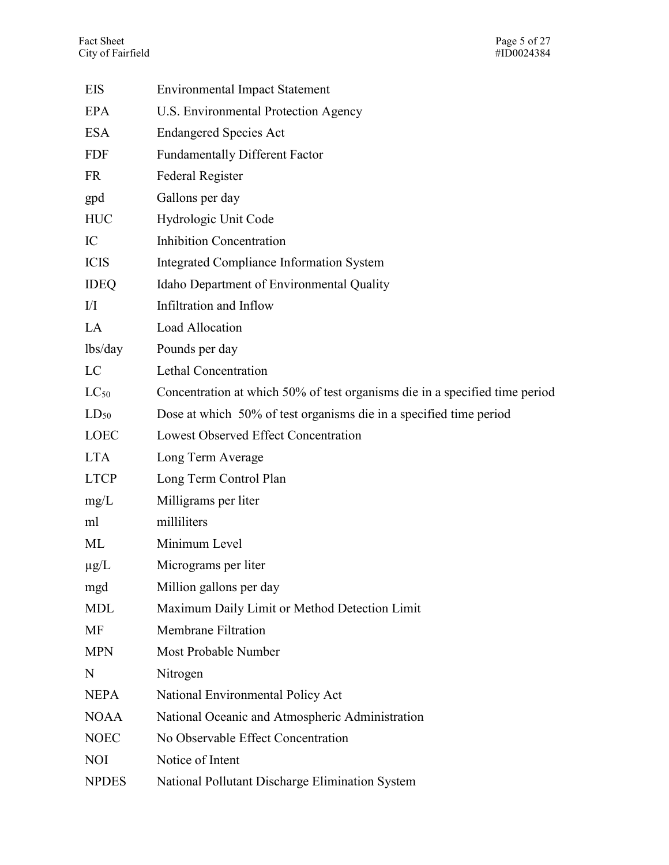| <b>EIS</b>   | <b>Environmental Impact Statement</b>                                       |
|--------------|-----------------------------------------------------------------------------|
| EPA          | <b>U.S. Environmental Protection Agency</b>                                 |
| <b>ESA</b>   | <b>Endangered Species Act</b>                                               |
| <b>FDF</b>   | <b>Fundamentally Different Factor</b>                                       |
| <b>FR</b>    | Federal Register                                                            |
| gpd          | Gallons per day                                                             |
| <b>HUC</b>   | Hydrologic Unit Code                                                        |
| IC           | <b>Inhibition Concentration</b>                                             |
| <b>ICIS</b>  | Integrated Compliance Information System                                    |
| <b>IDEQ</b>  | Idaho Department of Environmental Quality                                   |
| $\rm{II}$    | Infiltration and Inflow                                                     |
| LA           | Load Allocation                                                             |
| lbs/day      | Pounds per day                                                              |
| LC           | <b>Lethal Concentration</b>                                                 |
| $LC_{50}$    | Concentration at which 50% of test organisms die in a specified time period |
| $LD_{50}$    | Dose at which 50% of test organisms die in a specified time period          |
| <b>LOEC</b>  | Lowest Observed Effect Concentration                                        |
| <b>LTA</b>   | Long Term Average                                                           |
| <b>LTCP</b>  | Long Term Control Plan                                                      |
| mg/L         | Milligrams per liter                                                        |
| ml           | milliliters                                                                 |
| <b>ML</b>    | Minimum Level                                                               |
| $\mu$ g/L    | Micrograms per liter                                                        |
| mgd          | Million gallons per day                                                     |
| <b>MDL</b>   | Maximum Daily Limit or Method Detection Limit                               |
| MF           | <b>Membrane Filtration</b>                                                  |
| <b>MPN</b>   | Most Probable Number                                                        |
| N            | Nitrogen                                                                    |
| <b>NEPA</b>  | National Environmental Policy Act                                           |
| <b>NOAA</b>  | National Oceanic and Atmospheric Administration                             |
| <b>NOEC</b>  | No Observable Effect Concentration                                          |
| <b>NOI</b>   | Notice of Intent                                                            |
| <b>NPDES</b> | National Pollutant Discharge Elimination System                             |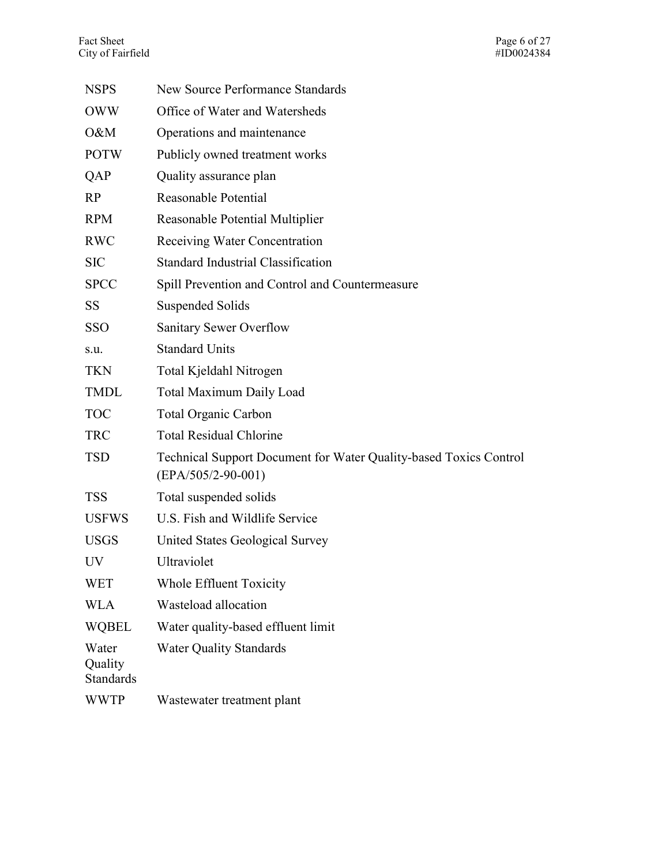| <b>NSPS</b>                          | <b>New Source Performance Standards</b>                                                   |
|--------------------------------------|-------------------------------------------------------------------------------------------|
| <b>OWW</b>                           | Office of Water and Watersheds                                                            |
| O&M                                  | Operations and maintenance                                                                |
| <b>POTW</b>                          | Publicly owned treatment works                                                            |
| QAP                                  | Quality assurance plan                                                                    |
| RP                                   | Reasonable Potential                                                                      |
| <b>RPM</b>                           | Reasonable Potential Multiplier                                                           |
| <b>RWC</b>                           | Receiving Water Concentration                                                             |
| <b>SIC</b>                           | <b>Standard Industrial Classification</b>                                                 |
| <b>SPCC</b>                          | Spill Prevention and Control and Countermeasure                                           |
| <b>SS</b>                            | <b>Suspended Solids</b>                                                                   |
| <b>SSO</b>                           | <b>Sanitary Sewer Overflow</b>                                                            |
| S.u.                                 | <b>Standard Units</b>                                                                     |
| <b>TKN</b>                           | Total Kjeldahl Nitrogen                                                                   |
| <b>TMDL</b>                          | <b>Total Maximum Daily Load</b>                                                           |
| <b>TOC</b>                           | <b>Total Organic Carbon</b>                                                               |
| <b>TRC</b>                           | <b>Total Residual Chlorine</b>                                                            |
| <b>TSD</b>                           | Technical Support Document for Water Quality-based Toxics Control<br>$(EPA/505/2-90-001)$ |
| <b>TSS</b>                           | Total suspended solids                                                                    |
| <b>USFWS</b>                         | U.S. Fish and Wildlife Service                                                            |
| <b>USGS</b>                          | United States Geological Survey                                                           |
| <b>UV</b>                            | Ultraviolet                                                                               |
| <b>WET</b>                           | Whole Effluent Toxicity                                                                   |
| <b>WLA</b>                           | Wasteload allocation                                                                      |
| <b>WQBEL</b>                         | Water quality-based effluent limit                                                        |
| Water<br>Quality<br><b>Standards</b> | <b>Water Quality Standards</b>                                                            |
| <b>WWTP</b>                          | Wastewater treatment plant                                                                |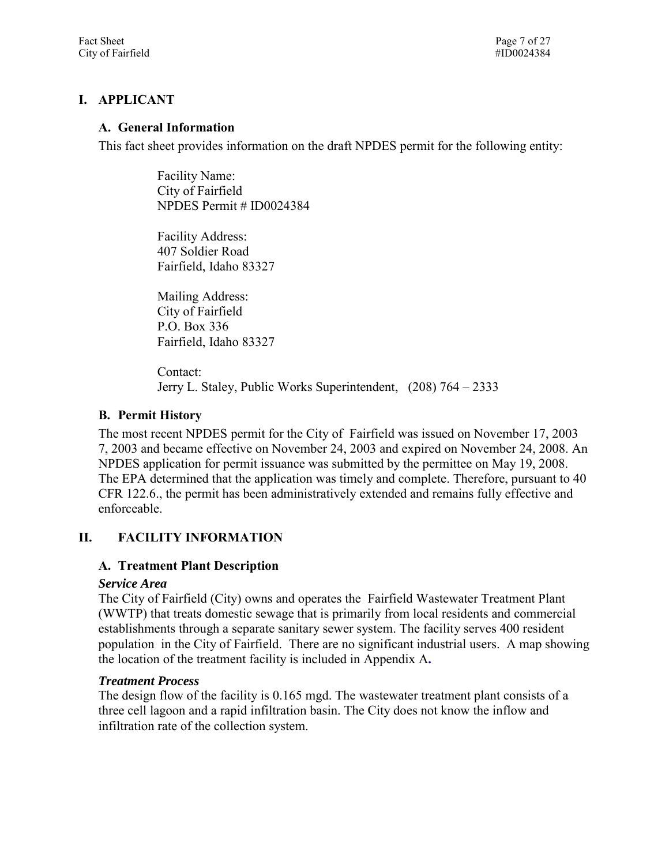#### <span id="page-6-1"></span><span id="page-6-0"></span>**I. APPLICANT**

#### **A. General Information**

This fact sheet provides information on the draft NPDES permit for the following entity:

 Facility Name: NPDES Permit # ID0024384 City of Fairfield

 Facility Address: 407 Soldier Road Fairfield, Idaho 83327

 Mailing Address: City of Fairfield P.O. Box 336 Fairfield, Idaho 83327

 Contact: Jerry L. Staley, Public Works Superintendent, (208) 764 – 2333

#### <span id="page-6-2"></span>**B. Permit History**

 The most recent NPDES permit for the City of Fairfield was issued on November 17, 2003 7, 2003 and became effective on November 24, 2003 and expired on November 24, 2008. An NPDES application for permit issuance was submitted by the permittee on May 19, 2008. The EPA determined that the application was timely and complete. Therefore, pursuant to 40 CFR 122.6., the permit has been administratively extended and remains fully effective and enforceable.

#### <span id="page-6-4"></span><span id="page-6-3"></span>**II. FACILITY INFORMATION**

#### **A. Treatment Plant Description**

#### *Service Area*

 The City of Fairfield (City) owns and operates the Fairfield Wastewater Treatment Plant establishments through a separate sanitary sewer system. The facility serves 400 resident (WWTP) that treats domestic sewage that is primarily from local residents and commercial population in the City of Fairfield. There are no significant industrial users. A map showing the location of the treatment facility is included in Appendix A**.** 

#### *Treatment Process*

 The design flow of the facility is 0.165 mgd. The wastewater treatment plant consists of a three cell lagoon and a rapid infiltration basin. The City does not know the inflow and infiltration rate of the collection system.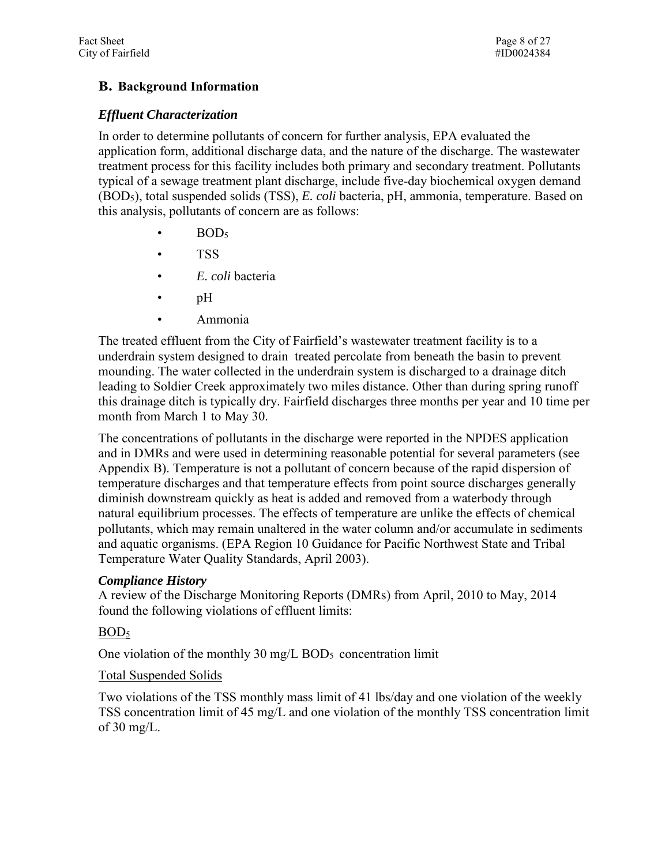#### <span id="page-7-0"></span>**B. Background Information**

#### *Effluent Characterization*

 typical of a sewage treatment plant discharge, include five-day biochemical oxygen demand In order to determine pollutants of concern for further analysis, EPA evaluated the application form, additional discharge data, and the nature of the discharge. The wastewater treatment process for this facility includes both primary and secondary treatment. Pollutants (BOD5), total suspended solids (TSS), *E. coli* bacteria, pH, ammonia, temperature. Based on this analysis, pollutants of concern are as follows:

- $BOD<sub>5</sub>$
- TSS
- *E. coli* bacteria
- pH
- Ammonia

leading to Soldier Creek approximately two miles distance. Other than during spring runoff The treated effluent from the City of Fairfield's wastewater treatment facility is to a underdrain system designed to drain treated percolate from beneath the basin to prevent mounding. The water collected in the underdrain system is discharged to a drainage ditch this drainage ditch is typically dry. Fairfield discharges three months per year and 10 time per month from March 1 to May 30.

 The concentrations of pollutants in the discharge were reported in the NPDES application Appendix B). Temperature is not a pollutant of concern because of the rapid dispersion of and in DMRs and were used in determining reasonable potential for several parameters (see temperature discharges and that temperature effects from point source discharges generally diminish downstream quickly as heat is added and removed from a waterbody through natural equilibrium processes. The effects of temperature are unlike the effects of chemical pollutants, which may remain unaltered in the water column and/or accumulate in sediments and aquatic organisms. (EPA Region 10 Guidance for Pacific Northwest State and Tribal Temperature Water Quality Standards, April 2003).

#### *Compliance History*

found the following violations of effluent limits:<br>BOD<sub>5</sub> A review of the Discharge Monitoring Reports (DMRs) from April, 2010 to May, 2014

One violation of the monthly 30 mg/L BOD $_5$  concentration limit

#### Total Suspended Solids

 Two violations of the TSS monthly mass limit of 41 lbs/day and one violation of the weekly TSS concentration limit of 45 mg/L and one violation of the monthly TSS concentration limit of  $30 \text{ mg/L}$ .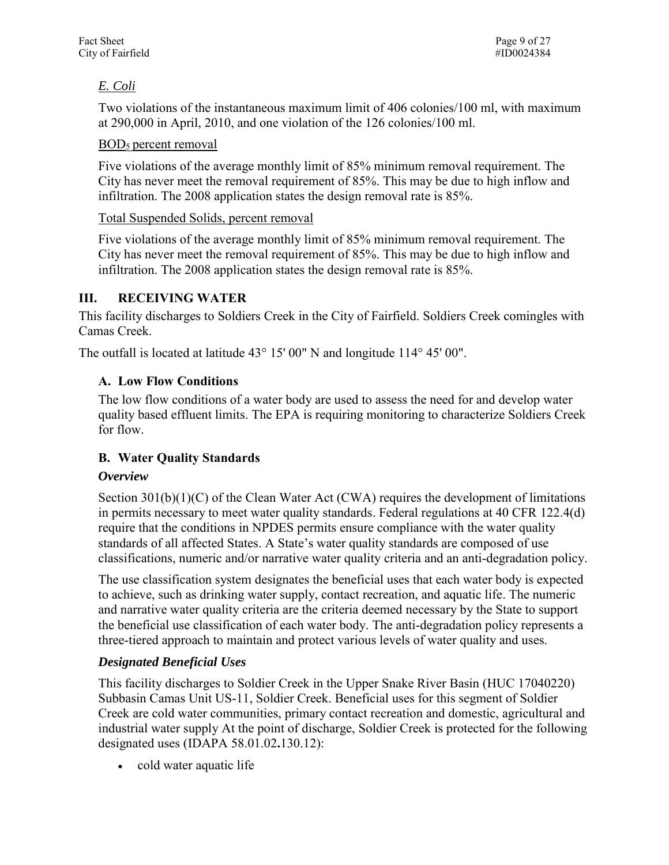#### *E. Coli*

 at 290,000 in April, 2010, and one violation of the 126 colonies/100 ml. Two violations of the instantaneous maximum limit of 406 colonies/100 ml, with maximum

#### BOD5 percent removal

 Five violations of the average monthly limit of 85% minimum removal requirement. The City has never meet the removal requirement of 85%. This may be due to high inflow and infiltration. The 2008 application states the design removal rate is 85%.

#### Total Suspended Solids, percent removal

 Five violations of the average monthly limit of 85% minimum removal requirement. The City has never meet the removal requirement of 85%. This may be due to high inflow and infiltration. The 2008 application states the design removal rate is 85%.

#### <span id="page-8-0"></span>**III. RECEIVING WATER**

This facility discharges to Soldiers Creek in the City of Fairfield. Soldiers Creek comingles with Camas Creek.

<span id="page-8-1"></span>The outfall is located at latitude 43° 15' 00" N and longitude 114° 45' 00".

#### **A. Low Flow Conditions**

The low flow conditions of a water body are used to assess the need for and develop water quality based effluent limits. The EPA is requiring monitoring to characterize Soldiers Creek for flow.

#### <span id="page-8-2"></span>**B. Water Quality Standards**

#### *Overview*

 classifications, numeric and/or narrative water quality criteria and an anti-degradation policy. Section  $301(b)(1)(C)$  of the Clean Water Act (CWA) requires the development of limitations in permits necessary to meet water quality standards. Federal regulations at 40 CFR 122.4(d) require that the conditions in NPDES permits ensure compliance with the water quality standards of all affected States. A State's water quality standards are composed of use

 and narrative water quality criteria are the criteria deemed necessary by the State to support three-tiered approach to maintain and protect various levels of water quality and uses. The use classification system designates the beneficial uses that each water body is expected to achieve, such as drinking water supply, contact recreation, and aquatic life. The numeric the beneficial use classification of each water body. The anti-degradation policy represents a

#### *Designated Beneficial Uses*

 industrial water supply At the point of discharge, Soldier Creek is protected for the following This facility discharges to Soldier Creek in the Upper Snake River Basin (HUC 17040220) Subbasin Camas Unit US-11, Soldier Creek. Beneficial uses for this segment of Soldier Creek are cold water communities, primary contact recreation and domestic, agricultural and designated uses (IDAPA 58.01.02**.**130.12):

• cold water aquatic life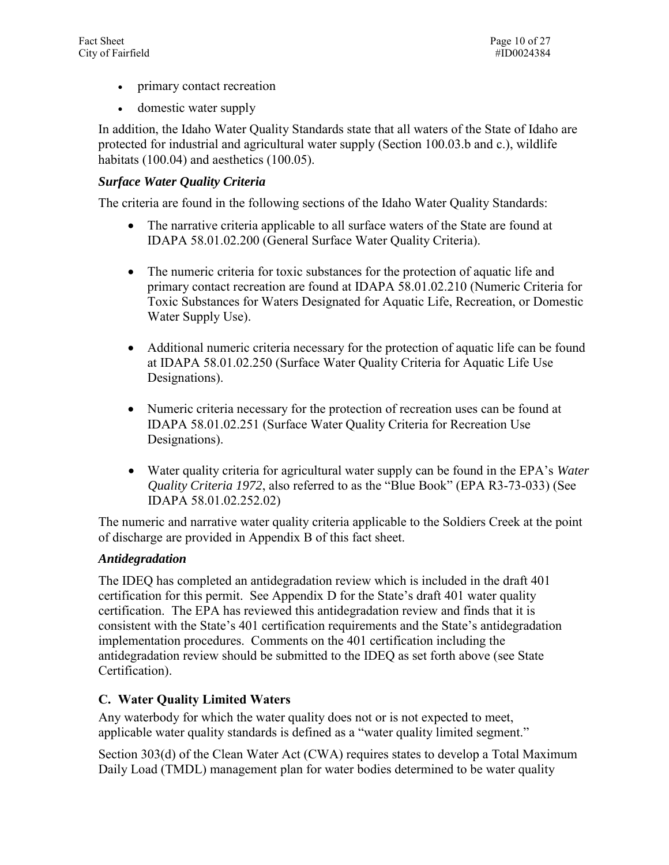- primary contact recreation
- domestic water supply

In addition, the Idaho Water Quality Standards state that all waters of the State of Idaho are protected for industrial and agricultural water supply (Section 100.03.b and c.), wildlife habitats (100.04) and aesthetics (100.05).

#### *Surface Water Quality Criteria*

The criteria are found in the following sections of the Idaho Water Quality Standards:

- IDAPA 58.01.02.200 (General Surface Water Quality Criteria). The narrative criteria applicable to all surface waters of the State are found at
- The numeric criteria for toxic substances for the protection of aquatic life and primary contact recreation are found at IDAPA 58.01.02.210 (Numeric Criteria for Toxic Substances for Waters Designated for Aquatic Life, Recreation, or Domestic Water Supply Use).
- at IDAPA 58.01.02.250 (Surface Water Quality Criteria for Aquatic Life Use Additional numeric criteria necessary for the protection of aquatic life can be found Designations).
- Numeric criteria necessary for the protection of recreation uses can be found at IDAPA 58.01.02.251 (Surface Water Quality Criteria for Recreation Use Designations).
- Water quality criteria for agricultural water supply can be found in the EPA's *Water Quality Criteria 1972*, also referred to as the "Blue Book" (EPA R3-73-033) (See IDAPA 58.01.02.252.02)

 The numeric and narrative water quality criteria applicable to the Soldiers Creek at the point of discharge are provided in Appendix B of this fact sheet.

#### *Antidegradation*

 certification for this permit. See Appendix D for the State's draft 401 water quality antidegradation review should be submitted to the IDEQ as set forth above (see State The IDEQ has completed an antidegradation review which is included in the draft 401 certification. The EPA has reviewed this antidegradation review and finds that it is consistent with the State's 401 certification requirements and the State's antidegradation implementation procedures. Comments on the 401 certification including the Certification).

#### <span id="page-9-0"></span>**C. Water Quality Limited Waters**

applicable water quality standards is defined as a "water quality limited segment." Any waterbody for which the water quality does not or is not expected to meet,

Section 303(d) of the Clean Water Act (CWA) requires states to develop a Total Maximum Daily Load (TMDL) management plan for water bodies determined to be water quality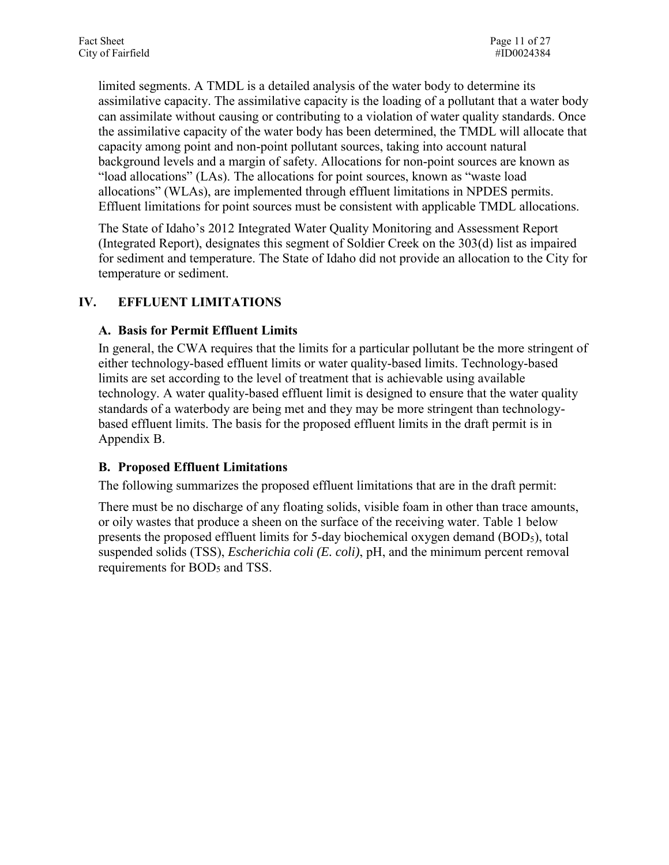"load allocations" (LAs). The allocations for point sources, known as "waste load Effluent limitations for point sources must be consistent with applicable TMDL allocations. limited segments. A TMDL is a detailed analysis of the water body to determine its assimilative capacity. The assimilative capacity is the loading of a pollutant that a water body can assimilate without causing or contributing to a violation of water quality standards. Once the assimilative capacity of the water body has been determined, the TMDL will allocate that capacity among point and non-point pollutant sources, taking into account natural background levels and a margin of safety. Allocations for non-point sources are known as allocations" (WLAs), are implemented through effluent limitations in NPDES permits.

 for sediment and temperature. The State of Idaho did not provide an allocation to the City for The State of Idaho's 2012 Integrated Water Quality Monitoring and Assessment Report (Integrated Report), designates this segment of Soldier Creek on the 303(d) list as impaired temperature or sediment.

#### <span id="page-10-1"></span><span id="page-10-0"></span>**IV. EFFLUENT LIMITATIONS**

#### **A. Basis for Permit Effluent Limits**

 Appendix B. In general, the CWA requires that the limits for a particular pollutant be the more stringent of either technology-based effluent limits or water quality-based limits. Technology-based limits are set according to the level of treatment that is achievable using available technology. A water quality-based effluent limit is designed to ensure that the water quality standards of a waterbody are being met and they may be more stringent than technologybased effluent limits. The basis for the proposed effluent limits in the draft permit is in

#### <span id="page-10-2"></span>**B. Proposed Effluent Limitations**

The following summarizes the proposed effluent limitations that are in the draft permit:

 or oily wastes that produce a sheen on the surface of the receiving water. Table 1 below suspended solids (TSS), *Escherichia coli (E. coli)*, pH, and the minimum percent removal requirements for BOD<sub>5</sub> and TSS. There must be no discharge of any floating solids, visible foam in other than trace amounts, presents the proposed effluent limits for 5-day biochemical oxygen demand (BOD5), total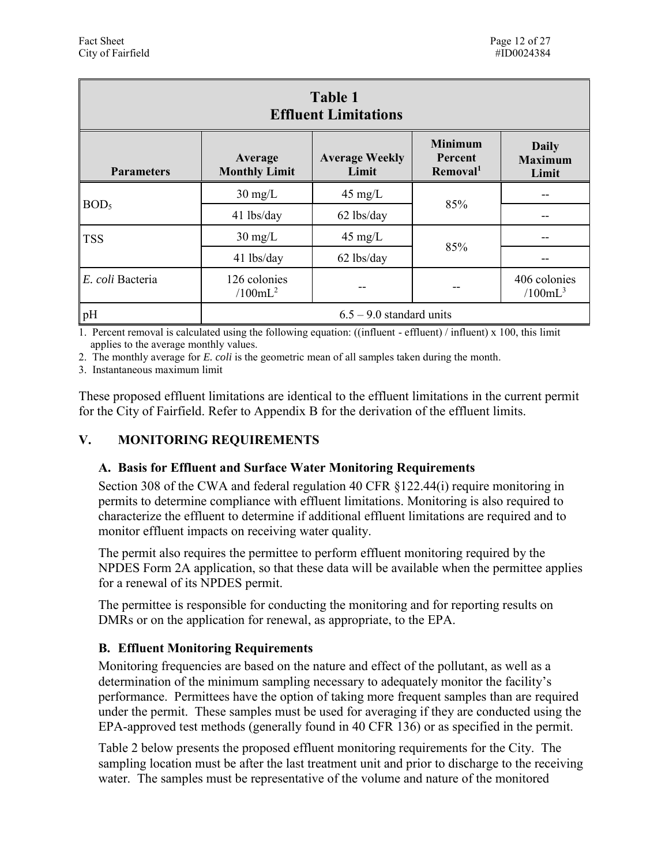| Table 1<br><b>Effluent Limitations</b>                                                                                                                                                        |                            |                   |     |                                     |  |  |  |  |
|-----------------------------------------------------------------------------------------------------------------------------------------------------------------------------------------------|----------------------------|-------------------|-----|-------------------------------------|--|--|--|--|
| <b>Minimum</b><br><b>Daily</b><br><b>Average Weekly</b><br>Average<br><b>Percent</b><br><b>Maximum</b><br>Removal <sup>1</sup><br><b>Monthly Limit</b><br>Limit<br><b>Parameters</b><br>Limit |                            |                   |     |                                     |  |  |  |  |
|                                                                                                                                                                                               | $30 \text{ mg/L}$          | $45 \text{ mg/L}$ |     |                                     |  |  |  |  |
| BOD <sub>5</sub>                                                                                                                                                                              | 41 lbs/day                 | 62 lbs/day        | 85% | --                                  |  |  |  |  |
| <b>TSS</b>                                                                                                                                                                                    | $30 \text{ mg/L}$          | $45 \text{ mg/L}$ |     |                                     |  |  |  |  |
|                                                                                                                                                                                               | 41 lbs/day                 | 62 lbs/day        | 85% |                                     |  |  |  |  |
| E. coli Bacteria                                                                                                                                                                              | 126 colonies<br>$/100mL^2$ |                   | --  | 406 colonies<br>/100mL <sup>3</sup> |  |  |  |  |
| pH                                                                                                                                                                                            | $6.5 - 9.0$ standard units |                   |     |                                     |  |  |  |  |

1. Percent removal is calculated using the following equation: ((influent - effluent) / influent) x 100, this limit applies to the average monthly values.

2. The monthly average for *E. coli* is the geometric mean of all samples taken during the month.

3. Instantaneous maximum limit

 for the City of Fairfield. Refer to Appendix B for the derivation of the effluent limits. These proposed effluent limitations are identical to the effluent limitations in the current permit

#### <span id="page-11-0"></span>**MONITORING REQUIREMENTS**

# <span id="page-11-1"></span> **V. MONITORING REQUIREMENTS A. Basis for Effluent and Surface Water Monitoring Requirements**

monitor effluent impacts on receiving water quality. Section 308 of the CWA and federal regulation 40 CFR §122.44(i) require monitoring in permits to determine compliance with effluent limitations. Monitoring is also required to characterize the effluent to determine if additional effluent limitations are required and to

The permit also requires the permittee to perform effluent monitoring required by the NPDES Form 2A application, so that these data will be available when the permittee applies for a renewal of its NPDES permit.

The permittee is responsible for conducting the monitoring and for reporting results on DMRs or on the application for renewal, as appropriate, to the EPA.

#### <span id="page-11-2"></span>**B. Effluent Monitoring Requirements**

Monitoring frequencies are based on the nature and effect of the pollutant, as well as a determination of the minimum sampling necessary to adequately monitor the facility's performance. Permittees have the option of taking more frequent samples than are required under the permit. These samples must be used for averaging if they are conducted using the EPA-approved test methods (generally found in 40 CFR 136) or as specified in the permit.

 Table 2 below presents the proposed effluent monitoring requirements for the City. The water. The samples must be representative of the volume and nature of the monitored sampling location must be after the last treatment unit and prior to discharge to the receiving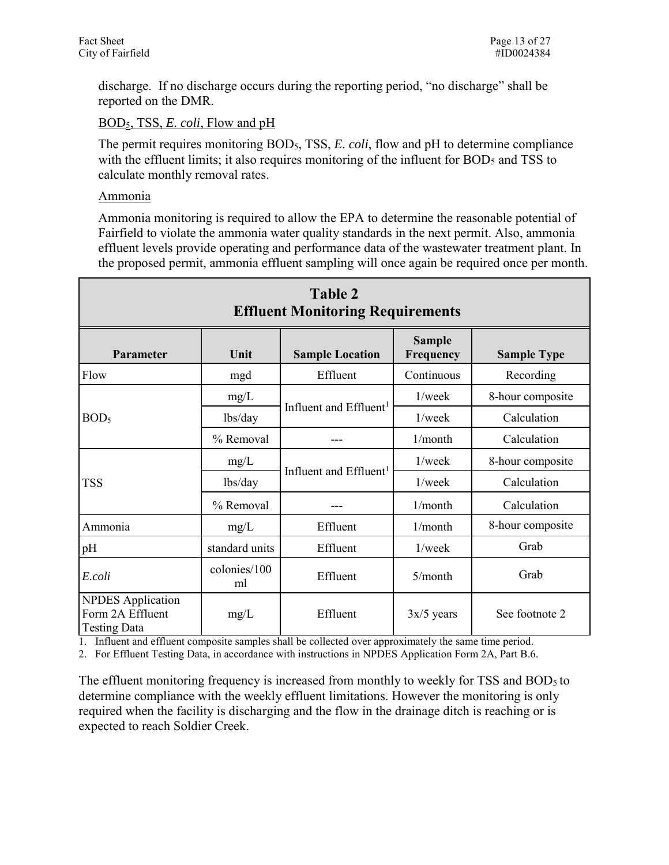discharge. If no discharge occurs during the reporting period, "no discharge" shall be reported on the DMR.

BOD5, TSS, *E. coli*, Flow and pH

The permit requires monitoring BOD<sub>5</sub>, TSS, *E. coli*, flow and pH to determine compliance with the effluent limits; it also requires monitoring of the influent for BOD<sub>5</sub> and TSS to calculate monthly removal rates.

#### Ammonia

 the proposed permit, ammonia effluent sampling will once again be required once per month. Ammonia monitoring is required to allow the EPA to determine the reasonable potential of Fairfield to violate the ammonia water quality standards in the next permit. Also, ammonia effluent levels provide operating and performance data of the wastewater treatment plant. In

| <b>Table 2</b><br><b>Effluent Monitoring Requirements</b>                                       |                    |                                    |              |                  |  |  |  |  |
|-------------------------------------------------------------------------------------------------|--------------------|------------------------------------|--------------|------------------|--|--|--|--|
| <b>Sample</b><br>Unit<br><b>Sample Location</b><br>Frequency<br>Parameter<br><b>Sample Type</b> |                    |                                    |              |                  |  |  |  |  |
| Flow                                                                                            | mgd                | Effluent                           | Continuous   | Recording        |  |  |  |  |
|                                                                                                 | mg/L               |                                    | $1$ /week    | 8-hour composite |  |  |  |  |
| BOD <sub>5</sub>                                                                                | lbs/day            | Influent and Effluent <sup>1</sup> | $1$ /week    | Calculation      |  |  |  |  |
|                                                                                                 | % Removal          |                                    | 1/month      | Calculation      |  |  |  |  |
|                                                                                                 | mg/L               |                                    | $1$ /week    | 8-hour composite |  |  |  |  |
| <b>TSS</b>                                                                                      | lbs/day            | Influent and Effluent <sup>1</sup> | $1$ /week    | Calculation      |  |  |  |  |
|                                                                                                 | % Removal          |                                    | 1/month      | Calculation      |  |  |  |  |
| Ammonia                                                                                         | mg/L               | Effluent                           | 1/month      | 8-hour composite |  |  |  |  |
| pH                                                                                              | standard units     | Effluent                           | 1/week       | Grab             |  |  |  |  |
| E.coli                                                                                          | colonies/100<br>ml | Effluent                           | 5/month      | Grab             |  |  |  |  |
| <b>NPDES</b> Application<br>Form 2A Effluent<br><b>Testing Data</b>                             | mg/L               | Effluent                           | $3x/5$ years | See footnote 2   |  |  |  |  |

1. Influent and effluent composite samples shall be collected over approximately the same time period.

2. For Effluent Testing Data, in accordance with instructions in NPDES Application Form 2A, Part B.6.

The effluent monitoring frequency is increased from monthly to weekly for TSS and BOD<sub>5</sub> to determine compliance with the weekly effluent limitations. However the monitoring is only required when the facility is discharging and the flow in the drainage ditch is reaching or is expected to reach Soldier Creek.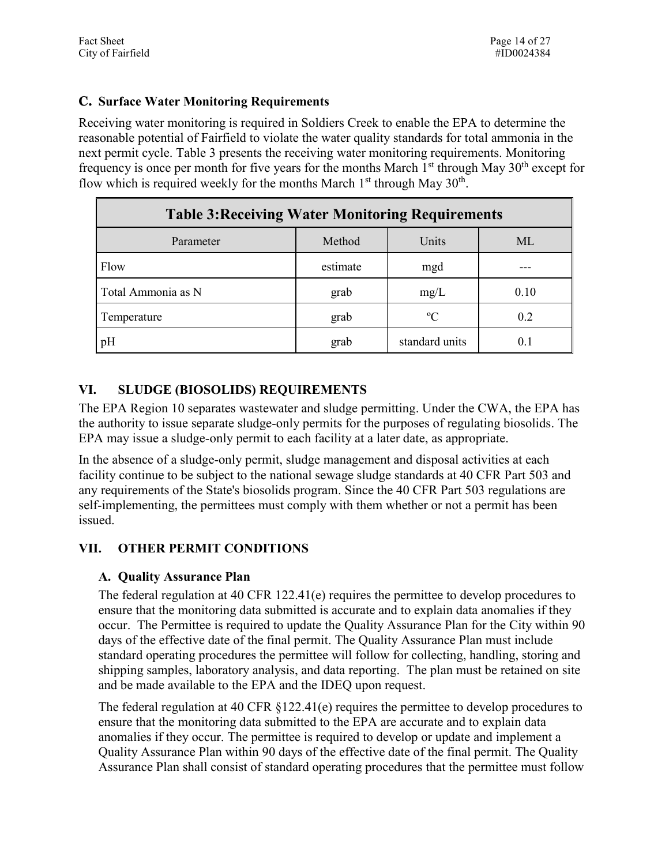#### <span id="page-13-0"></span>**C. Surface Water Monitoring Requirements**

 reasonable potential of Fairfield to violate the water quality standards for total ammonia in the frequency is once per month for five years for the months March  $1<sup>st</sup>$  through May  $30<sup>th</sup>$  except for Receiving water monitoring is required in Soldiers Creek to enable the EPA to determine the next permit cycle. Table 3 presents the receiving water monitoring requirements. Monitoring flow which is required weekly for the months March  $1<sup>st</sup>$  through May  $30<sup>th</sup>$ .

| <b>Table 3: Receiving Water Monitoring Requirements</b> |          |                |      |  |  |  |  |
|---------------------------------------------------------|----------|----------------|------|--|--|--|--|
| Method<br>Units<br>ML<br>Parameter                      |          |                |      |  |  |  |  |
| Flow                                                    | estimate | mgd            |      |  |  |  |  |
| Total Ammonia as N                                      | grab     | mg/L           | 0.10 |  |  |  |  |
| Temperature                                             | grab     | $\rm ^{o}C$    | 0.2  |  |  |  |  |
| pH                                                      | grab     | standard units | 0.1  |  |  |  |  |

#### <span id="page-13-1"></span>**VI. SLUDGE (BIOSOLIDS) REQUIREMENTS**

 EPA may issue a sludge-only permit to each facility at a later date, as appropriate. The EPA Region 10 separates wastewater and sludge permitting. Under the CWA, the EPA has the authority to issue separate sludge-only permits for the purposes of regulating biosolids. The

 any requirements of the State's biosolids program. Since the 40 CFR Part 503 regulations are issued. In the absence of a sludge-only permit, sludge management and disposal activities at each facility continue to be subject to the national sewage sludge standards at 40 CFR Part 503 and self-implementing, the permittees must comply with them whether or not a permit has been

# <span id="page-13-3"></span><span id="page-13-2"></span> **VII. OTHER PERMIT CONDITIONS A. Quality Assurance Plan**

 occur. The Permittee is required to update the Quality Assurance Plan for the City within 90 standard operating procedures the permittee will follow for collecting, handling, storing and shipping samples, laboratory analysis, and data reporting. The plan must be retained on site The federal regulation at 40 CFR 122.41(e) requires the permittee to develop procedures to ensure that the monitoring data submitted is accurate and to explain data anomalies if they days of the effective date of the final permit. The Quality Assurance Plan must include and be made available to the EPA and the IDEQ upon request.

 ensure that the monitoring data submitted to the EPA are accurate and to explain data Quality Assurance Plan within 90 days of the effective date of the final permit. The Quality The federal regulation at 40 CFR §122.41(e) requires the permittee to develop procedures to anomalies if they occur. The permittee is required to develop or update and implement a Assurance Plan shall consist of standard operating procedures that the permittee must follow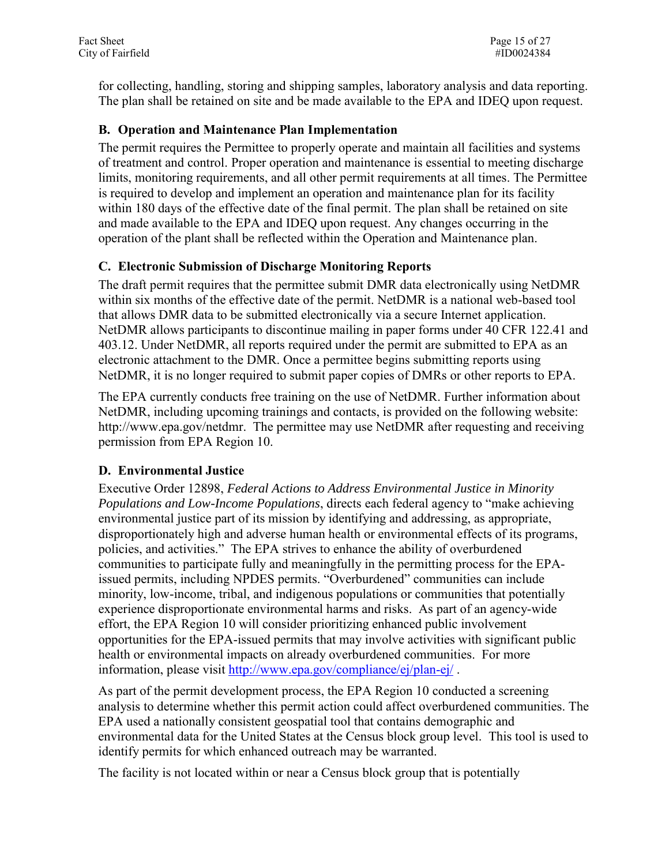for collecting, handling, storing and shipping samples, laboratory analysis and data reporting. The plan shall be retained on site and be made available to the EPA and IDEQ upon request.

#### <span id="page-14-0"></span>**B. Operation and Maintenance Plan Implementation**

The permit requires the Permittee to properly operate and maintain all facilities and systems of treatment and control. Proper operation and maintenance is essential to meeting discharge limits, monitoring requirements, and all other permit requirements at all times. The Permittee is required to develop and implement an operation and maintenance plan for its facility within 180 days of the effective date of the final permit. The plan shall be retained on site and made available to the EPA and IDEQ upon request. Any changes occurring in the operation of the plant shall be reflected within the Operation and Maintenance plan.

#### <span id="page-14-1"></span>**C. Electronic Submission of Discharge Monitoring Reports**

The draft permit requires that the permittee submit DMR data electronically using NetDMR within six months of the effective date of the permit. NetDMR is a national web-based tool that allows DMR data to be submitted electronically via a secure Internet application. NetDMR allows participants to discontinue mailing in paper forms under 40 CFR 122.41 and 403.12. Under NetDMR, all reports required under the permit are submitted to EPA as an electronic attachment to the DMR. Once a permittee begins submitting reports using NetDMR, it is no longer required to submit paper copies of DMRs or other reports to EPA.

The EPA currently conducts free training on the use of NetDMR. Further information about NetDMR, including upcoming trainings and contacts, is provided on the following website: http://www.epa.gov/netdmr. The permittee may use NetDMR after requesting and receiving permission from EPA Region 10.

#### <span id="page-14-2"></span>**D. Environmental Justice**

 policies, and activities." The EPA strives to enhance the ability of overburdened health or environmental impacts on already overburdened communities. For more information, please visit http://www.epa.gov/compliance/ej/plan-ej/. Executive Order 12898, *Federal Actions to Address Environmental Justice in Minority Populations and Low-Income Populations*, directs each federal agency to "make achieving environmental justice part of its mission by identifying and addressing, as appropriate, disproportionately high and adverse human health or environmental effects of its programs, communities to participate fully and meaningfully in the permitting process for the EPAissued permits, including NPDES permits. "Overburdened" communities can include minority, low-income, tribal, and indigenous populations or communities that potentially experience disproportionate environmental harms and risks. As part of an agency-wide effort, the EPA Region 10 will consider prioritizing enhanced public involvement opportunities for the EPA-issued permits that may involve activities with significant public

As part of the permit development process, the EPA Region 10 conducted a screening analysis to determine whether this permit action could affect overburdened communities. The EPA used a nationally consistent geospatial tool that contains demographic and environmental data for the United States at the Census block group level. This tool is used to identify permits for which enhanced outreach may be warranted.

The facility is not located within or near a Census block group that is potentially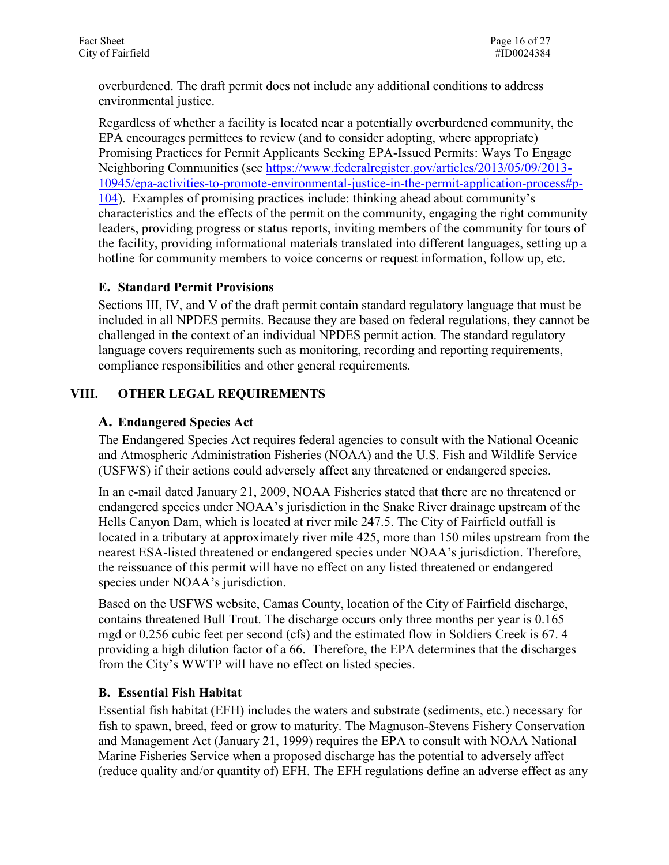overburdened. The draft permit does not include any additional conditions to address environmental justice.

 Regardless of whether a facility is located near a potentially overburdened community, the EPA encourages permittees to review (and to consider adopting, where appropriate) Promising Practices for Permit Applicants Seeking EPA-Issued Permits: Ways To Engage Neighboring Communities (see [https://www.federalregister.gov/articles/2013/05/09/2013-](https://www.federalregister.gov/articles/2013/05/09/2013-10945/epa-activities-to-promote-environmental-justice-in-the-permit-application-process#p-104) [10945/epa-activities-to-promote-environmental-justice-in-the-permit-application-process#p-](https://www.federalregister.gov/articles/2013/05/09/2013-10945/epa-activities-to-promote-environmental-justice-in-the-permit-application-process#p-104)[104\)](https://www.federalregister.gov/articles/2013/05/09/2013-10945/epa-activities-to-promote-environmental-justice-in-the-permit-application-process#p-104). Examples of promising practices include: thinking ahead about community's characteristics and the effects of the permit on the community, engaging the right community leaders, providing progress or status reports, inviting members of the community for tours of the facility, providing informational materials translated into different languages, setting up a hotline for community members to voice concerns or request information, follow up, etc.

#### <span id="page-15-0"></span> **E. Standard Permit Provisions**

 included in all NPDES permits. Because they are based on federal regulations, they cannot be compliance responsibilities and other general requirements. Sections III, IV, and V of the draft permit contain standard regulatory language that must be challenged in the context of an individual NPDES permit action. The standard regulatory language covers requirements such as monitoring, recording and reporting requirements,

#### <span id="page-15-2"></span><span id="page-15-1"></span>**VIII. OTHER LEGAL REQUIREMENTS**

#### **A. Endangered Species Act**

The Endangered Species Act requires federal agencies to consult with the National Oceanic and Atmospheric Administration Fisheries (NOAA) and the U.S. Fish and Wildlife Service (USFWS) if their actions could adversely affect any threatened or endangered species.

In an e-mail dated January 21, 2009, NOAA Fisheries stated that there are no threatened or endangered species under NOAA's jurisdiction in the Snake River drainage upstream of the Hells Canyon Dam, which is located at river mile 247.5. The City of Fairfield outfall is located in a tributary at approximately river mile 425, more than 150 miles upstream from the nearest ESA-listed threatened or endangered species under NOAA's jurisdiction. Therefore, the reissuance of this permit will have no effect on any listed threatened or endangered species under NOAA's jurisdiction.

 Based on the USFWS website, Camas County, location of the City of Fairfield discharge, contains threatened Bull Trout. The discharge occurs only three months per year is 0.165 providing a high dilution factor of a 66. Therefore, the EPA determines that the discharges mgd or 0.256 cubic feet per second (cfs) and the estimated flow in Soldiers Creek is 67. 4 from the City's WWTP will have no effect on listed species.

#### <span id="page-15-3"></span> **B. Essential Fish Habitat**

 Essential fish habitat (EFH) includes the waters and substrate (sediments, etc.) necessary for (reduce quality and/or quantity of) EFH. The EFH regulations define an adverse effect as any fish to spawn, breed, feed or grow to maturity. The Magnuson-Stevens Fishery Conservation and Management Act (January 21, 1999) requires the EPA to consult with NOAA National Marine Fisheries Service when a proposed discharge has the potential to adversely affect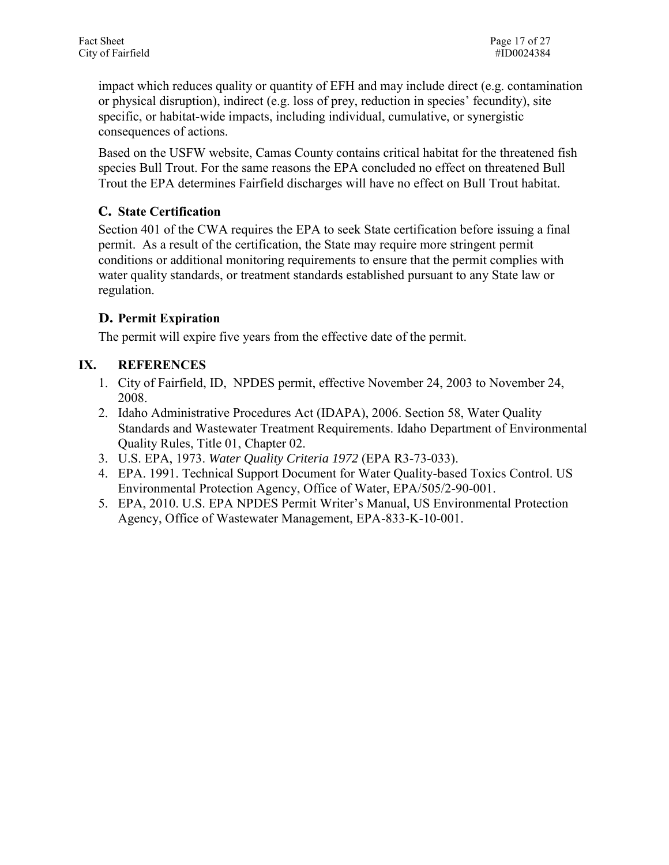impact which reduces quality or quantity of EFH and may include direct (e.g. contamination or physical disruption), indirect (e.g. loss of prey, reduction in species' fecundity), site specific, or habitat-wide impacts, including individual, cumulative, or synergistic consequences of actions.

Based on the USFW website, Camas County contains critical habitat for the threatened fish species Bull Trout. For the same reasons the EPA concluded no effect on threatened Bull Trout the EPA determines Fairfield discharges will have no effect on Bull Trout habitat.

#### <span id="page-16-0"></span>**C. State Certification**

Section 401 of the CWA requires the EPA to seek State certification before issuing a final permit. As a result of the certification, the State may require more stringent permit conditions or additional monitoring requirements to ensure that the permit complies with water quality standards, or treatment standards established pursuant to any State law or regulation.

#### <span id="page-16-1"></span>**D. Permit Expiration**

The permit will expire five years from the effective date of the permit.

#### <span id="page-16-2"></span>**IX. REFERENCES**

- 1. City of Fairfield, ID, NPDES permit, effective November 24, 2003 to November 24, 2008.
- 2. Idaho Administrative Procedures Act (IDAPA), 2006. Section 58, Water Quality Standards and Wastewater Treatment Requirements. Idaho Department of Environmental Quality Rules, Title 01, Chapter 02.
- 3. U.S. EPA, 1973. *Water Quality Criteria 1972* (EPA R3-73-033).
- 4. EPA. 1991. Technical Support Document for Water Quality-based Toxics Control. US Environmental Protection Agency, Office of Water, EPA/505/2-90-001.
- 5. EPA, 2010. U.S. EPA NPDES Permit Writer's Manual, US Environmental Protection Agency, Office of Wastewater Management, EPA-833-K-10-001.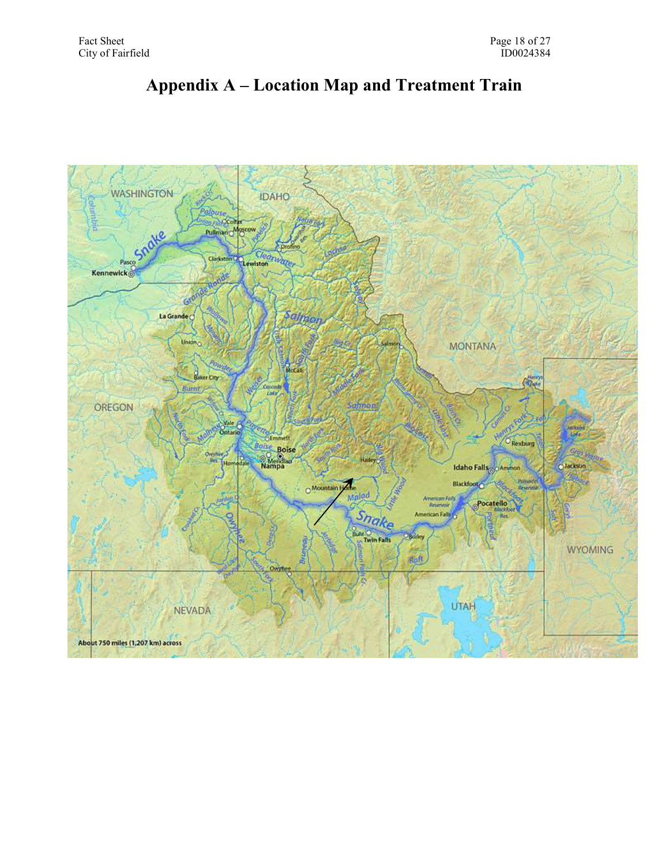<span id="page-17-0"></span>

## **Appendix A – Location Map and Treatment Train**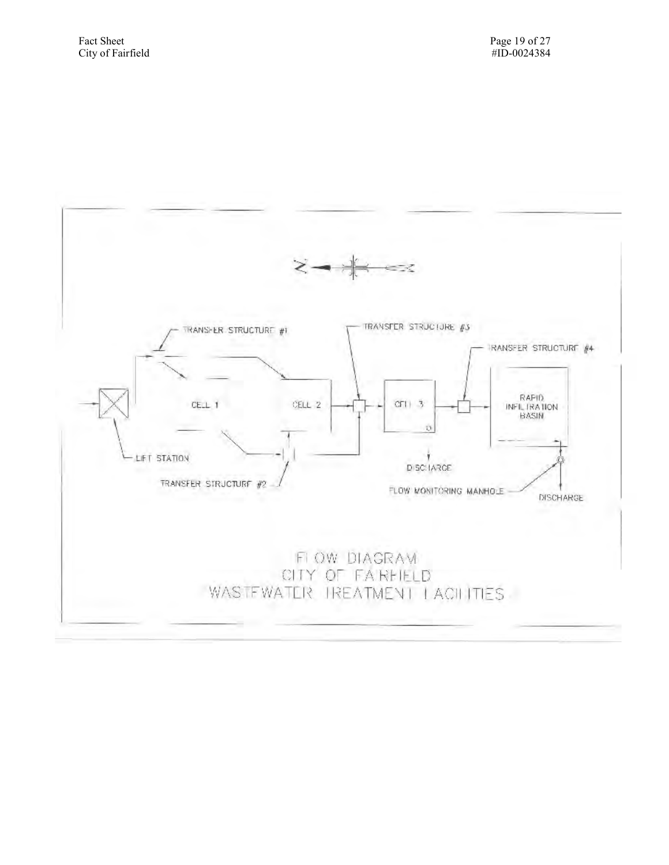

<span id="page-18-0"></span>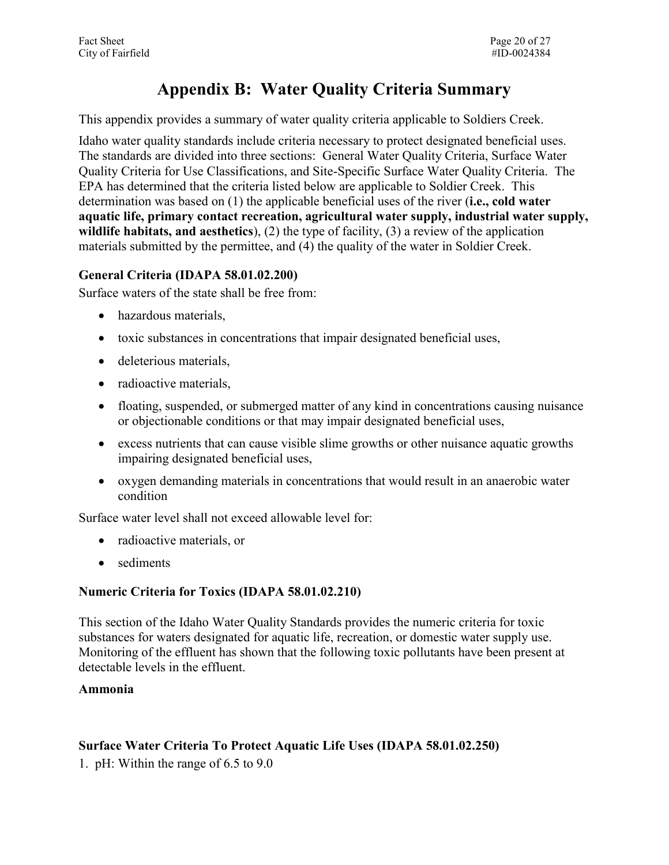# **Appendix B: Water Quality Criteria Summary**

This appendix provides a summary of water quality criteria applicable to Soldiers Creek.

 Quality Criteria for Use Classifications, and Site-Specific Surface Water Quality Criteria. The Idaho water quality standards include criteria necessary to protect designated beneficial uses. The standards are divided into three sections: General Water Quality Criteria, Surface Water EPA has determined that the criteria listed below are applicable to Soldier Creek. This determination was based on (1) the applicable beneficial uses of the river (**i.e., cold water aquatic life, primary contact recreation, agricultural water supply, industrial water supply, wildlife habitats, and aesthetics**), (2) the type of facility, (3) a review of the application materials submitted by the permittee, and (4) the quality of the water in Soldier Creek.

#### <span id="page-19-0"></span>**General Criteria (IDAPA 58.01.02.200)**

Surface waters of the state shall be free from:

- hazardous materials,
- toxic substances in concentrations that impair designated beneficial uses,
- deleterious materials,
- radioactive materials,
- floating, suspended, or submerged matter of any kind in concentrations causing nuisance or objectionable conditions or that may impair designated beneficial uses,
- excess nutrients that can cause visible slime growths or other nuisance aquatic growths impairing designated beneficial uses,
- oxygen demanding materials in concentrations that would result in an anaerobic water condition

Surface water level shall not exceed allowable level for:

- radioactive materials, or
- sediments

#### <span id="page-19-1"></span>**Numeric Criteria for Toxics (IDAPA 58.01.02.210)**

This section of the Idaho Water Quality Standards provides the numeric criteria for toxic substances for waters designated for aquatic life, recreation, or domestic water supply use. Monitoring of the effluent has shown that the following toxic pollutants have been present at detectable levels in the effluent.

#### **Ammonia**

#### <span id="page-19-2"></span>**Surface Water Criteria To Protect Aquatic Life Uses (IDAPA 58.01.02.250)**

1. pH: Within the range of 6.5 to 9.0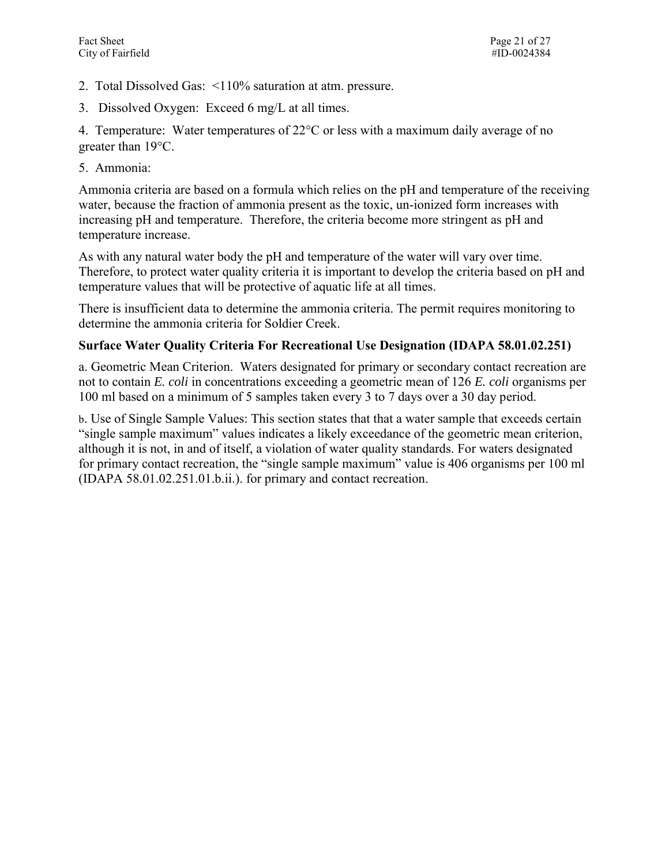- 2. Total Dissolved Gas: <110% saturation at atm. pressure.
- 3. Dissolved Oxygen: Exceed 6 mg/L at all times.

4. Temperature: Water temperatures of  $22^{\circ}$ C or less with a maximum daily average of no greater than  $19^{\circ}$ C.

5. Ammonia:

Ammonia criteria are based on a formula which relies on the pH and temperature of the receiving water, because the fraction of ammonia present as the toxic, un-ionized form increases with increasing pH and temperature. Therefore, the criteria become more stringent as pH and temperature increase.

As with any natural water body the pH and temperature of the water will vary over time. Therefore, to protect water quality criteria it is important to develop the criteria based on pH and temperature values that will be protective of aquatic life at all times.

There is insufficient data to determine the ammonia criteria. The permit requires monitoring to determine the ammonia criteria for Soldier Creek.

#### **Surface Water Quality Criteria For Recreational Use Designation (IDAPA 58.01.02.251)**

a. Geometric Mean Criterion. Waters designated for primary or secondary contact recreation are not to contain *E. coli* in concentrations exceeding a geometric mean of 126 *E. coli* organisms per 100 ml based on a minimum of 5 samples taken every 3 to 7 days over a 30 day period.

b. Use of Single Sample Values: This section states that that a water sample that exceeds certain "single sample maximum" values indicates a likely exceedance of the geometric mean criterion, although it is not, in and of itself, a violation of water quality standards. For waters designated for primary contact recreation, the "single sample maximum" value is 406 organisms per 100 ml (IDAPA 58.01.02.251.01.b.ii.). for primary and contact recreation.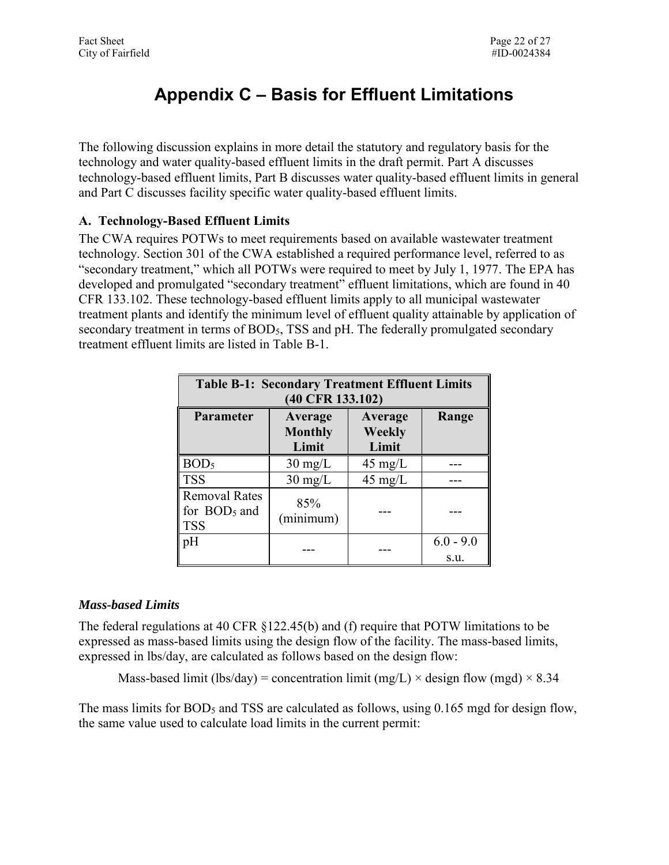# <span id="page-21-0"></span>**Appendix C – Basis for Effluent Limitations**

The following discussion explains in more detail the statutory and regulatory basis for the technology and water quality-based effluent limits in the draft permit. Part A discusses technology-based effluent limits, Part B discusses water quality-based effluent limits in general and Part C discusses facility specific water quality-based effluent limits.

#### <span id="page-21-1"></span> **A. Technology-Based Effluent Limits**

The CWA requires POTWs to meet requirements based on available wastewater treatment technology. Section 301 of the CWA established a required performance level, referred to as "secondary treatment," which all POTWs were required to meet by July 1, 1977. The EPA has developed and promulgated "secondary treatment" effluent limitations, which are found in 40 CFR 133.102. These technology-based effluent limits apply to all municipal wastewater treatment plants and identify the minimum level of effluent quality attainable by application of secondary treatment in terms of BOD<sub>5</sub>, TSS and pH. The federally promulgated secondary treatment effluent limits are listed in Table B-1.

| <b>Table B-1: Secondary Treatment Effluent Limits</b><br>(40 CFR 133.102) |                                    |                            |                     |  |  |  |
|---------------------------------------------------------------------------|------------------------------------|----------------------------|---------------------|--|--|--|
| <b>Parameter</b>                                                          | Average<br><b>Monthly</b><br>Limit | Average<br>Weekly<br>Limit | Range               |  |  |  |
| BOD <sub>5</sub>                                                          | $30 \text{ mg/L}$                  | $45 \text{ mg/L}$          |                     |  |  |  |
| <b>TSS</b>                                                                | $30 \text{ mg/L}$                  | $45 \text{ mg/L}$          |                     |  |  |  |
| <b>Removal Rates</b><br>for BOD <sub>5</sub> and<br><b>TSS</b>            | 85%<br>(minimum)                   |                            |                     |  |  |  |
| pH                                                                        |                                    |                            | $6.0 - 9.0$<br>S.u. |  |  |  |

#### *Mass-based Limits*

 The federal regulations at 40 CFR §122.45(b) and (f) require that POTW limitations to be expressed in lbs/day, are calculated as follows based on the design flow: expressed as mass-based limits using the design flow of the facility. The mass-based limits,

Mass-based limit (lbs/day) = concentration limit (mg/L)  $\times$  design flow (mgd)  $\times$  8.34

The mass limits for BOD<sub>5</sub> and TSS are calculated as follows, using 0.165 mgd for design flow, the same value used to calculate load limits in the current permit: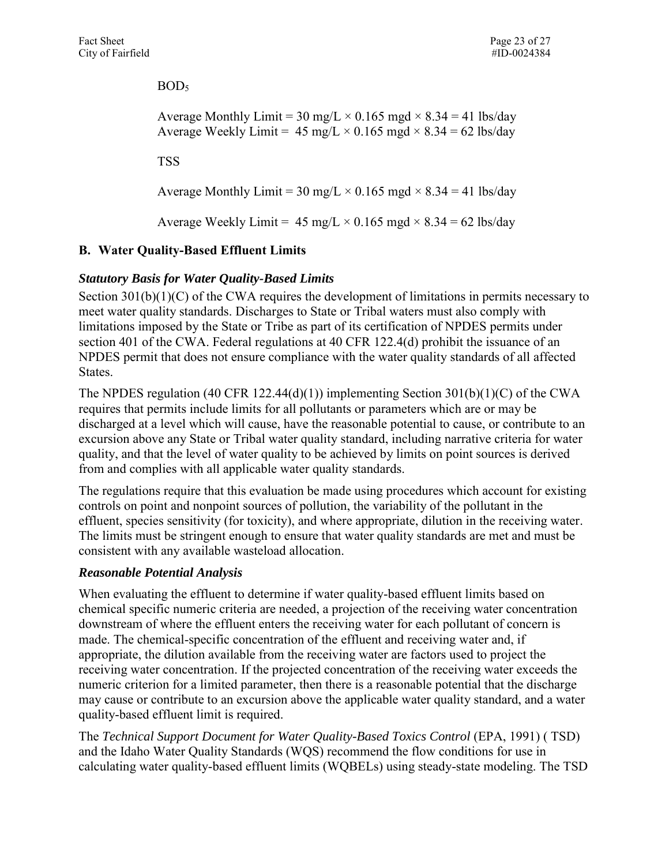$BOD<sub>5</sub>$ 

```
Average Monthly Limit = 30 mg/L \times 0.165 mgd \times 8.34 = 41 lbs/day
Average Weekly Limit = 45 \text{ mg/L} \times 0.165 \text{ mgd} \times 8.34 = 62 \text{ lbs/day}
```
TSS

Average Monthly Limit = 30 mg/L  $\times$  0.165 mgd  $\times$  8.34 = 41 lbs/day

Average Weekly Limit =  $45 \text{ mg/L} \times 0.165 \text{ mgd} \times 8.34 = 62 \text{ lbs/day}$ 

#### <span id="page-22-0"></span> **B. Water Quality-Based Effluent Limits**

#### *Statutory Basis for Water Quality-Based Limits*

Section 301(b)(1)(C) of the CWA requires the development of limitations in permits necessary to meet water quality standards. Discharges to State or Tribal waters must also comply with limitations imposed by the State or Tribe as part of its certification of NPDES permits under section 401 of the CWA. Federal regulations at 40 CFR 122.4(d) prohibit the issuance of an NPDES permit that does not ensure compliance with the water quality standards of all affected States.

 from and complies with all applicable water quality standards. The NPDES regulation (40 CFR 122.44(d)(1)) implementing Section 301(b)(1)(C) of the CWA requires that permits include limits for all pollutants or parameters which are or may be discharged at a level which will cause, have the reasonable potential to cause, or contribute to an excursion above any State or Tribal water quality standard, including narrative criteria for water quality, and that the level of water quality to be achieved by limits on point sources is derived

The regulations require that this evaluation be made using procedures which account for existing controls on point and nonpoint sources of pollution, the variability of the pollutant in the effluent, species sensitivity (for toxicity), and where appropriate, dilution in the receiving water. The limits must be stringent enough to ensure that water quality standards are met and must be consistent with any available wasteload allocation.

#### *Reasonable Potential Analysis*

 chemical specific numeric criteria are needed, a projection of the receiving water concentration When evaluating the effluent to determine if water quality-based effluent limits based on downstream of where the effluent enters the receiving water for each pollutant of concern is made. The chemical-specific concentration of the effluent and receiving water and, if appropriate, the dilution available from the receiving water are factors used to project the receiving water concentration. If the projected concentration of the receiving water exceeds the numeric criterion for a limited parameter, then there is a reasonable potential that the discharge may cause or contribute to an excursion above the applicable water quality standard, and a water quality-based effluent limit is required.

 The *Technical Support Document for Water Quality-Based Toxics Control* (EPA, 1991) ( TSD) and the Idaho Water Quality Standards (WQS) recommend the flow conditions for use in calculating water quality-based effluent limits (WQBELs) using steady-state modeling. The TSD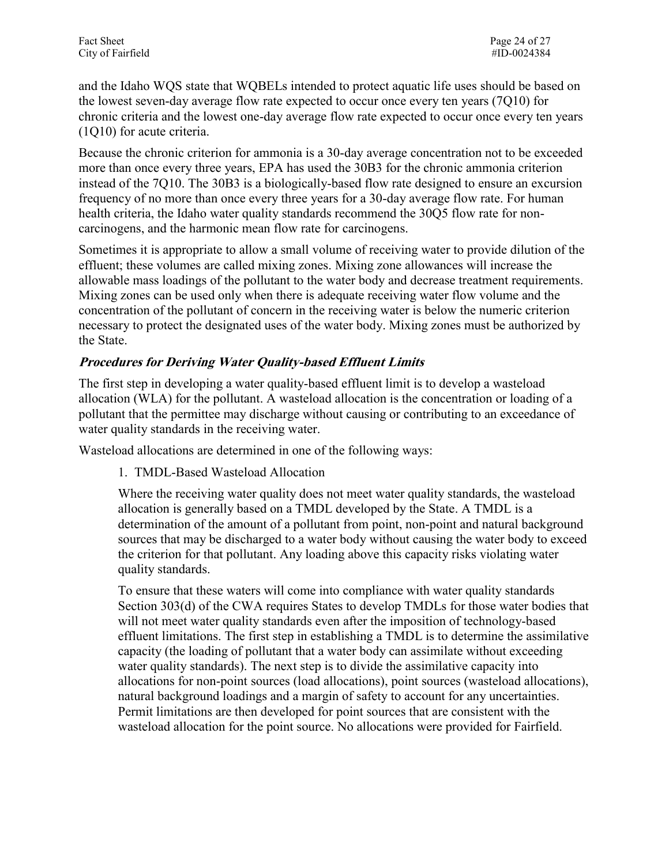chronic criteria and the lowest one-day average flow rate expected to occur once every ten years  $(1Q10)$  for acute criteria. and the Idaho WQS state that WQBELs intended to protect aquatic life uses should be based on the lowest seven-day average flow rate expected to occur once every ten years (7Q10) for

(1Q10) for acute criteria.<br>Because the chronic criterion for ammonia is a 30-day average concentration not to be exceeded more than once every three years, EPA has used the 30B3 for the chronic ammonia criterion instead of the 7Q10. The 30B3 is a biologically-based flow rate designed to ensure an excursion frequency of no more than once every three years for a 30-day average flow rate. For human health criteria, the Idaho water quality standards recommend the 3005 flow rate for noncarcinogens, and the harmonic mean flow rate for carcinogens.

 Sometimes it is appropriate to allow a small volume of receiving water to provide dilution of the effluent; these volumes are called mixing zones. Mixing zone allowances will increase the the State. allowable mass loadings of the pollutant to the water body and decrease treatment requirements. Mixing zones can be used only when there is adequate receiving water flow volume and the concentration of the pollutant of concern in the receiving water is below the numeric criterion necessary to protect the designated uses of the water body. Mixing zones must be authorized by

#### **Procedures for Deriving Water Quality-based Effluent Limits**

The first step in developing a water quality-based effluent limit is to develop a wasteload allocation (WLA) for the pollutant. A wasteload allocation is the concentration or loading of a pollutant that the permittee may discharge without causing or contributing to an exceedance of water quality standards in the receiving water.

Wasteload allocations are determined in one of the following ways:

1. TMDL-Based Wasteload Allocation

Where the receiving water quality does not meet water quality standards, the wasteload allocation is generally based on a TMDL developed by the State. A TMDL is a determination of the amount of a pollutant from point, non-point and natural background sources that may be discharged to a water body without causing the water body to exceed the criterion for that pollutant. Any loading above this capacity risks violating water quality standards.

To ensure that these waters will come into compliance with water quality standards Section 303(d) of the CWA requires States to develop TMDLs for those water bodies that will not meet water quality standards even after the imposition of technology-based effluent limitations. The first step in establishing a TMDL is to determine the assimilative capacity (the loading of pollutant that a water body can assimilate without exceeding water quality standards). The next step is to divide the assimilative capacity into allocations for non-point sources (load allocations), point sources (wasteload allocations), natural background loadings and a margin of safety to account for any uncertainties. Permit limitations are then developed for point sources that are consistent with the wasteload allocation for the point source. No allocations were provided for Fairfield.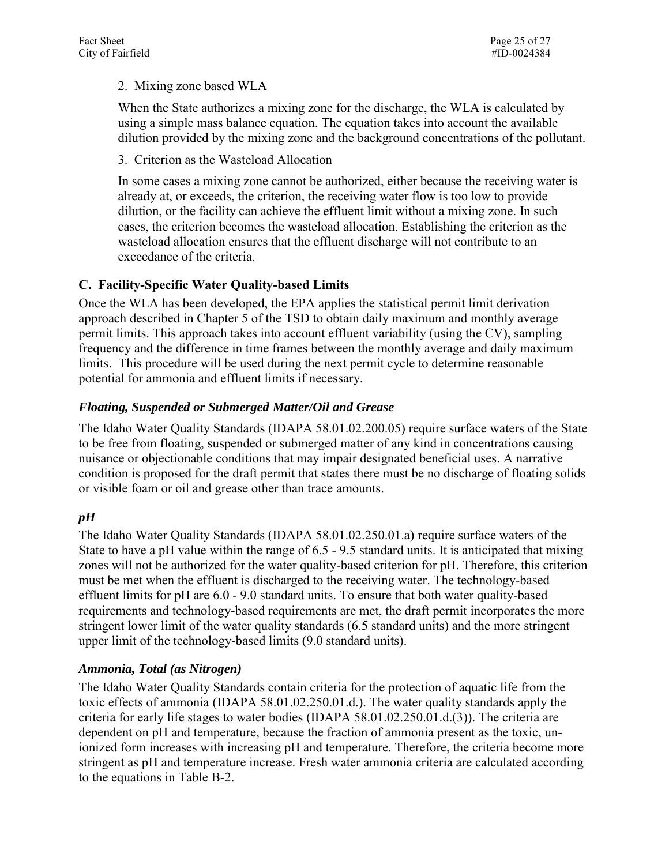#### 2. Mixing zone based WLA

When the State authorizes a mixing zone for the discharge, the WLA is calculated by using a simple mass balance equation. The equation takes into account the available dilution provided by the mixing zone and the background concentrations of the pollutant.

3. Criterion as the Wasteload Allocation

 exceedance of the criteria. In some cases a mixing zone cannot be authorized, either because the receiving water is already at, or exceeds, the criterion, the receiving water flow is too low to provide dilution, or the facility can achieve the effluent limit without a mixing zone. In such cases, the criterion becomes the wasteload allocation. Establishing the criterion as the wasteload allocation ensures that the effluent discharge will not contribute to an

#### <span id="page-24-0"></span>**C. Facility-Specific Water Quality-based Limits**

 approach described in Chapter 5 of the TSD to obtain daily maximum and monthly average limits. This procedure will be used during the next permit cycle to determine reasonable Once the WLA has been developed, the EPA applies the statistical permit limit derivation permit limits. This approach takes into account effluent variability (using the CV), sampling frequency and the difference in time frames between the monthly average and daily maximum potential for ammonia and effluent limits if necessary.

#### *Floating, Suspended or Submerged Matter/Oil and Grease*

 The Idaho Water Quality Standards (IDAPA 58.01.02.200.05) require surface waters of the State or visible foam or oil and grease other than trace amounts. to be free from floating, suspended or submerged matter of any kind in concentrations causing nuisance or objectionable conditions that may impair designated beneficial uses. A narrative condition is proposed for the draft permit that states there must be no discharge of floating solids

#### *pH*

 The Idaho Water Quality Standards (IDAPA 58.01.02.250.01.a) require surface waters of the requirements and technology-based requirements are met, the draft permit incorporates the more upper limit of the technology-based limits (9.0 standard units). State to have a pH value within the range of 6.5 - 9.5 standard units. It is anticipated that mixing zones will not be authorized for the water quality-based criterion for pH. Therefore, this criterion must be met when the effluent is discharged to the receiving water. The technology-based effluent limits for pH are 6.0 - 9.0 standard units. To ensure that both water quality-based stringent lower limit of the water quality standards (6.5 standard units) and the more stringent

#### *Ammonia, Total (as Nitrogen)*

 The Idaho Water Quality Standards contain criteria for the protection of aquatic life from the to the equations in Table B-2. toxic effects of ammonia (IDAPA 58.01.02.250.01.d.). The water quality standards apply the criteria for early life stages to water bodies (IDAPA 58.01.02.250.01.d.(3)). The criteria are dependent on pH and temperature, because the fraction of ammonia present as the toxic, unionized form increases with increasing pH and temperature. Therefore, the criteria become more stringent as pH and temperature increase. Fresh water ammonia criteria are calculated according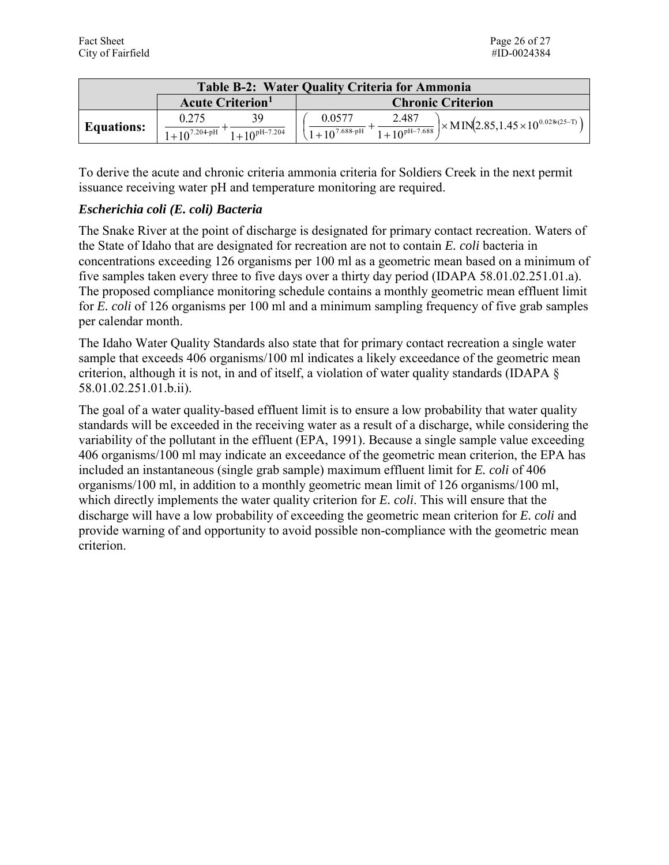|                   | <b>Table B-2: Water Quality Criteria for Ammonia</b>  |                                                                                                                                |  |  |  |  |
|-------------------|-------------------------------------------------------|--------------------------------------------------------------------------------------------------------------------------------|--|--|--|--|
|                   | <b>Acute Criterion</b> <sup>1</sup>                   | <b>Chronic Criterion</b>                                                                                                       |  |  |  |  |
| <b>Equations:</b> | ٦q<br>0.275<br>$1+10^{7.204-pH}$<br>$1+10^{pH-7.204}$ | 2.487<br>0.0577<br>$\vert \times$ MIN(2.85,1.45 $\times$ 10 <sup>0.028(25-T)</sup> )<br>$1+10^{pH-7.688}$<br>$1+10^{7.688-pH}$ |  |  |  |  |

 To derive the acute and chronic criteria ammonia criteria for Soldiers Creek in the next permit issuance receiving water pH and temperature monitoring are required.

#### *Escherichia coli (E. coli) Bacteria*

 concentrations exceeding 126 organisms per 100 ml as a geometric mean based on a minimum of five samples taken every three to five days over a thirty day period (IDAPA 58.01.02.251.01.a). The proposed compliance monitoring schedule contains a monthly geometric mean effluent limit for *E. coli* of 126 organisms per 100 ml and a minimum sampling frequency of five grab samples The Snake River at the point of discharge is designated for primary contact recreation. Waters of the State of Idaho that are designated for recreation are not to contain *E. coli* bacteria in per calendar month.

 The Idaho Water Quality Standards also state that for primary contact recreation a single water criterion, although it is not, in and of itself, a violation of water quality standards (IDAPA § sample that exceeds 406 organisms/100 ml indicates a likely exceedance of the geometric mean 58.01.02.251.01.b.ii).

 included an instantaneous (single grab sample) maximum effluent limit for *E. coli* of 406 criterion. The goal of a water quality-based effluent limit is to ensure a low probability that water quality standards will be exceeded in the receiving water as a result of a discharge, while considering the variability of the pollutant in the effluent (EPA, 1991). Because a single sample value exceeding 406 organisms/100 ml may indicate an exceedance of the geometric mean criterion, the EPA has organisms/100 ml, in addition to a monthly geometric mean limit of 126 organisms/100 ml, which directly implements the water quality criterion for *E. coli*. This will ensure that the discharge will have a low probability of exceeding the geometric mean criterion for *E. coli* and provide warning of and opportunity to avoid possible non-compliance with the geometric mean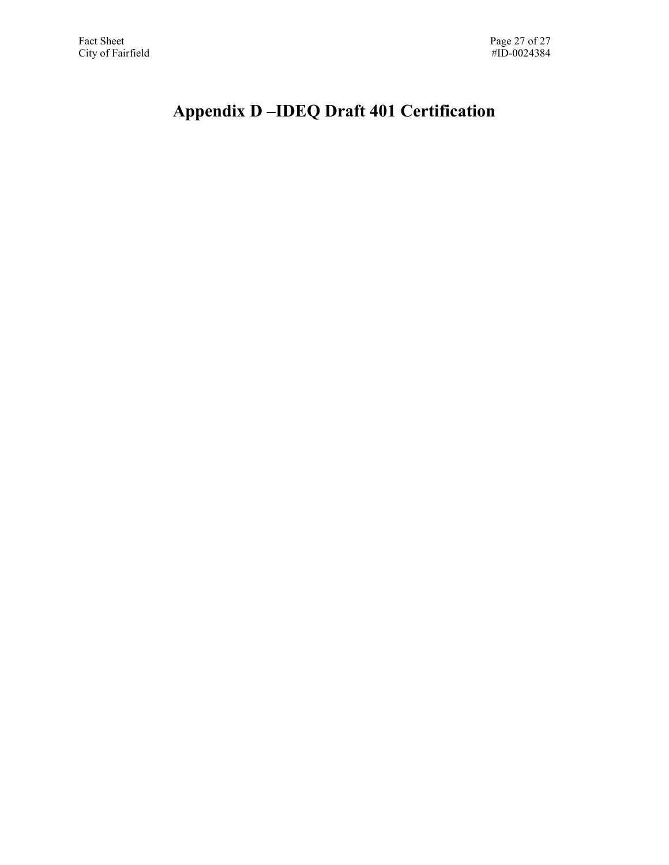# <span id="page-26-0"></span> **Appendix D –IDEQ Draft 401 Certification**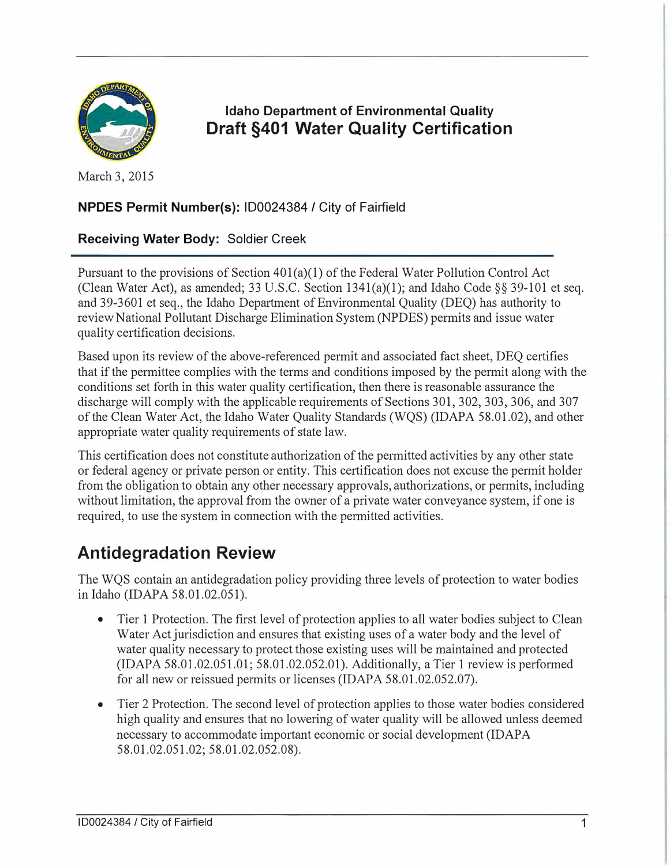

Idaho Department of Environmental Quality Draft §401 Water Quality Certification

March 3, 2015

#### NPDES Permit Number(s): ID0024384 / City of Fairfield

#### Receiving Water Body: Soldier Creek

Pursuant to the provisions of Section 401(a)(1) of the Federal Water Pollution Control Act (Clean Water Act), as amended; 33 U.S.C. Section  $1341(a)(1)$ ; and Idaho Code §§ 39-101 et seq. and 39-3601 et seq., the Idaho Department of Environmental Quality (DEQ) has authority to review National Pollutant Discharge Elimination System (NPDES) permits and issue water quality certification decisions.

Based upon its review of the above-referenced permit and associated fact sheet, DEQ certifies that if the permittee complies with the terms and conditions imposed by the permit along with the conditions set forth in this water quality certification, then there is reasonable assurance the discharge will comply with the applicable requirements of Sections 301, 302, 303, 306, and 307 of the Clean Water Act, the Idaho Water Quality Standards (WQS) (IDAPA 58.01.02), and other appropriate water quality requirements of state law.

This certification does not constitute authorization of the permitted activities by any other state or federal agency or private person or entity. This certification does not excuse the permit holder from the obligation to obtain any other necessary approvals, authorizations, or permits, including without limitation, the approval from the owner of a private water conveyance system, if one is required, to use the system in connection with the permitted activities.

# Antidegradation Review

The WQS contain an antidegradation policy providing three levels of protection to water bodies in Idaho (IDAPA 58.01.02.051).

- Tier 1 Protection. The first level of protection applies to all water bodies subject to Clean Water Act jurisdiction and ensures that existing uses of a water body and the level of water quality necessary to protect those existing uses will be maintained and protected  $(IDAPA 58.01.02.051.01; 58.01.02.052.01)$ . Additionally, a Tier 1 review is performed for all new or reissued permits or licenses (IDAPA 58.01.02.052.07).
- Tier 2 Protection. The second level of protection applies to those water bodies considered high quality and ensures that no lowering of water quality will be allowed unless deemed necessary to accommodate important economic or social development (IDAPA 58.01.02.051.02; 58.01.02.052.08).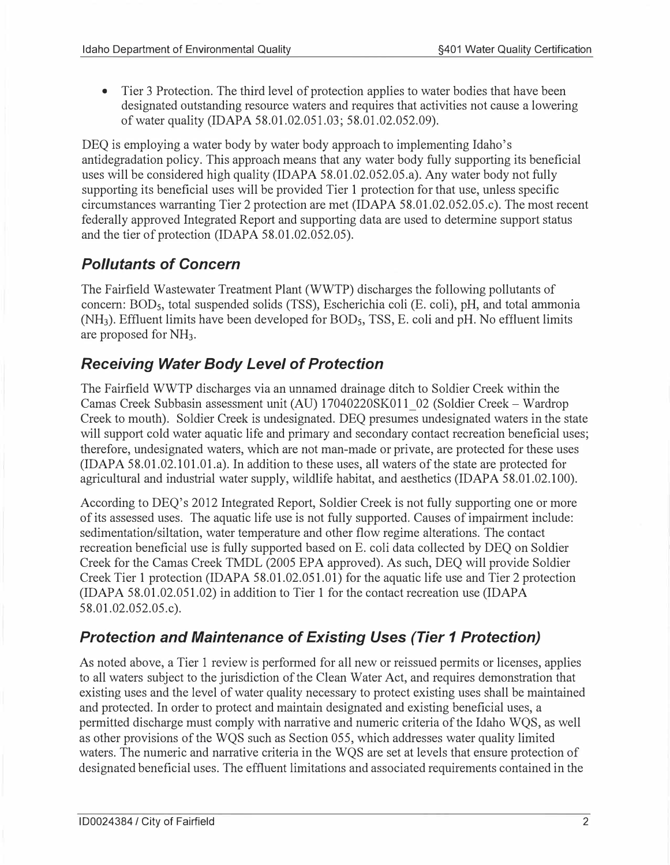• Tier 3 Protection. The third level of protection applies to water bodies that have been designated outstanding resource waters and requires that activities not cause a lowering of water quality (IDAPA 58.01.02.051.03; 58.01.02.052.09).

DEQ is employing a water body by water body approach to implementing Idaho's antidegradation policy. This approach means that any water body fully supporting its beneficial uses will be considered high quality (IDAPA 58.01.02.052.05.a). Any water body not fully supporting its beneficial uses will be provided Tier 1 protection for that use, unless specific circumstances warranting Tier 2 protection are met (IDAPA 58.01.02.052.05.c). The most recent federally approved Integrated Report and supporting data are used to determine support status and the tier of protection (IDAPA 58.01.02.052.05).

# Pollutants of Concern

The Fairfield Wastewater Treatment Plant (WWTP) discharges the following pollutants of concern: BOD5, total suspended solids (TSS), Escherichia coli (E. coli), pH, and total ammonia  $(NH<sub>3</sub>)$ . Effluent limits have been developed for BOD<sub>5</sub>, TSS, E. coli and pH. No effluent limits are proposed for NH3.

# Receiving Water Body Level of Protection

The Fairfield WWTP discharges via an unnamed drainage ditch to Soldier Creek within the Camas Creek Subbasin assessment unit (AU) 17040220SK011\_02 (Soldier Creek- Wardrop Creek to mouth). Soldier Creek is undesignated. DEQ presumes undesignated waters in the state will support cold water aquatic life and primary and secondary contact recreation beneficial uses; therefore, undesignated waters, which are not man-made or private, are protected for these uses (IDAPA 58.01.02.101.01.a). In addition to these uses, all waters of the state are protected for agricultural and industrial water supply, wildlife habitat, and aesthetics (IDAPA 58.01.02.100).

According to DEQ's 2012 Integrated Report, Soldier Creek is not fully supporting one or more of its assessed uses. The aquatic life use is not fully supported. Causes of impairment include: sedimentation/siltation, water temperature and other flow regime alterations. The contact recreation beneficial use is fully supported based on E. coli data collected by DEQ on Soldier Creek for the Camas Creek TMDL (2005 EPA approved). As such, DEQ will provide Soldier Creek Tier 1 protection (IDAPA 58.01.02.051.01) for the aquatic life use and Tier 2 protection (IDAPA 58.01.02.051.02) in addition to Tier 1 for the contact recreation use (IDAPA 58.01.02.052.05.c).

# Protection and Maintenance of Existing Uses (Tier 1 Protection)

As noted above, a Tier 1 review is performed for all new or reissued permits or licenses, applies to all waters subject to the jurisdiction of the Clean Water Act, and requires demonstration that existing uses and the level of water quality necessary to protect existing uses shall be maintained and protected. In order to protect and maintain designated and existing beneficial uses, a permitted discharge must comply with narrative and numeric criteria of the Idaho WQS, as well as other provisions of the WQS such as Section 055, which addresses water quality limited waters. The numeric and narrative criteria in the WQS are set at levels that ensure protection of designated beneficial uses. The effluent limitations and associated requirements contained in the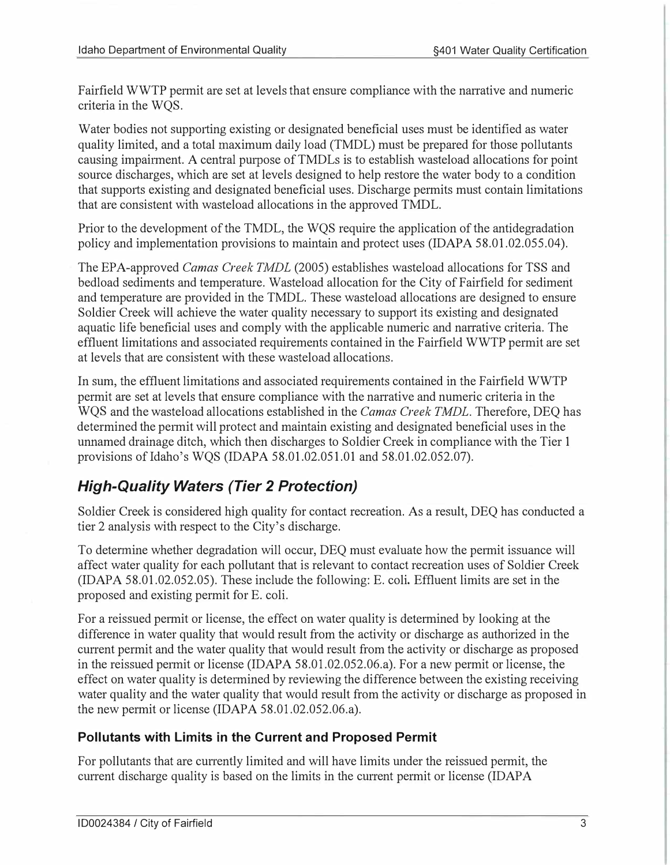Fairfield WWTP permit are set at levels that ensure compliance with the narrative and numeric criteria in the WQS.

Water bodies not supporting existing or designated beneficial uses must be identified as water quality limited, and a total maximum daily load (TMDL) must be prepared for those pollutants causing impairment. A central purpose of TMDLs is to establish wasteload allocations for point source discharges, which are set at levels designed to help restore the water body to a condition that supports existing and designated beneficial uses. Discharge permits must contain limitations that are consistent with wasteload allocations in the approved TMDL.

Prior to the development of the TMDL, the WQS require the application of the antidegradation policy and implementation provisions to maintain and protect uses (IDAPA 58.01.02.055.04).

The EPA-approved Camas Creek TMDL (2005) establishes wasteload allocations for TSS and bedload sediments and temperature. Wasteload allocation for the City of Fairfield for sediment and temperature are provided in the TMDL. These wasteload allocations are designed to ensure Soldier Creek will achieve the water quality necessary to support its existing and designated aquatic life beneficial uses and comply with the applicable numeric and narrative criteria. The effluent limitations and associated requirements contained in the Fairfield WWTP permit are set at levels that are consistent with these wasteload allocations.

In sum, the effluent limitations and associated requirements contained in the Fairfield WWTP permit are set at levels that ensure compliance with the narrative and numeric criteria in the WQS and the wasteload allocations established in the Camas Creek TMDL. Therefore, DEQ has determined the permit will protect and maintain existing and designated beneficial uses in the unnamed drainage ditch, which then discharges to Soldier Creek in compliance with the Tier 1 provisions of Idaho's WQS (IDAPA 58.01.02.051.01 and 58.01.02.052.07).

# High-Quality Waters (Tier 2 Protection)

Soldier Creek is considered high quality for contact recreation. As a result, DEQ has conducted a tier 2 analysis with respect to the City's discharge.

To determine whether degradation will occur, DEQ must evaluate how the permit issuance will affect water quality for each pollutant that is relevant to contact recreation uses of Soldier Creek  $(IDAPA 58.01.02.052.05)$ . These include the following: E. coli. Effluent limits are set in the proposed and existing permit for E. coli.

For a reissued permit or license, the effect on water quality is determined by looking at the difference in water quality that would result from the activity or discharge as authorized in the current permit and the water quality that would result from the activity or discharge as proposed in the reissued permit or license (IDAPA  $58.01.02.052.06.a$ ). For a new permit or license, the effect on water quality is determined by reviewing the difference between the existing receiving water quality and the water quality that would result from the activity or discharge as proposed in the new permit or license (IDAPA  $58.01.02.052.06.a$ ).

### Pollutants with Limits in the Current and Proposed Permit

For pollutants that are currently limited and will have limits under the reissued permit, the current discharge quality is based on the limits in the current permit or license (IDAP A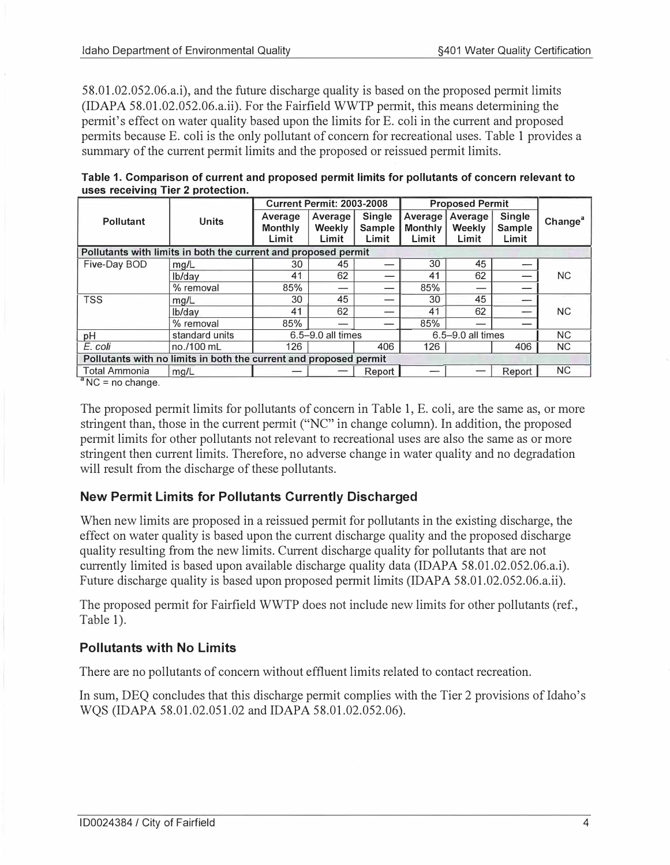58.01.02.052.06.a.i), and the future discharge quality is based on the proposed permit limits  $(IDAPA 58.01.02.052.06.a.ii)$ . For the Fairfield WWTP permit, this means determining the permit's effect on water quality based upon the limits for E. coli in the current and proposed permits because E. coli is the only pollutant of concern for recreational uses. Table 1 provides a summary of the current permit limits and the proposed or reissued permit limits.

| Table 1. Comparison of current and proposed permit limits for pollutants of concern relevant to<br>uses receiving Tier 2 protection. |                                  |                        |  |  |
|--------------------------------------------------------------------------------------------------------------------------------------|----------------------------------|------------------------|--|--|
|                                                                                                                                      | <b>Current Permit: 2003-2008</b> | <b>Proposed Permit</b> |  |  |

| <b>Units</b>                                                      | Average<br><b>Monthly</b> | Average<br><b>Weekly</b> | <b>Single</b><br><b>Sample</b> | Average<br><b>Monthly</b>                                                                                                 | Average<br>Weekly | Single<br>Sample | Change <sup>a</sup>                           |
|-------------------------------------------------------------------|---------------------------|--------------------------|--------------------------------|---------------------------------------------------------------------------------------------------------------------------|-------------------|------------------|-----------------------------------------------|
|                                                                   |                           |                          |                                |                                                                                                                           |                   |                  |                                               |
|                                                                   |                           |                          |                                |                                                                                                                           |                   |                  |                                               |
| mg/L                                                              | 30                        | 45                       |                                | 30                                                                                                                        | 45                |                  |                                               |
| lb/day                                                            | 41                        | 62                       |                                | 41                                                                                                                        | 62                |                  | <b>NC</b>                                     |
| % removal                                                         | 85%                       |                          |                                | 85%                                                                                                                       |                   |                  |                                               |
| mg/L                                                              | 30                        | 45                       |                                | 30                                                                                                                        | 45                |                  |                                               |
| lb/day                                                            | 41                        | 62                       |                                | 41                                                                                                                        | 62                | --               | <b>NC</b>                                     |
| % removal                                                         | 85%                       |                          |                                | 85%                                                                                                                       |                   |                  |                                               |
| standard units                                                    |                           |                          |                                |                                                                                                                           |                   |                  | N <sub>C</sub>                                |
| no./100 mL                                                        | 126                       |                          | 406                            | 126                                                                                                                       |                   | 406              | NC.                                           |
| Pollutants with no limits in both the current and proposed permit |                           |                          |                                |                                                                                                                           |                   |                  |                                               |
| mg/L                                                              |                           |                          | Report                         |                                                                                                                           |                   | Report           | <b>NC</b>                                     |
|                                                                   |                           | Limit                    | Limit                          | GUITEIR FEITHR. 2009-2000<br>Limit<br>Pollutants with limits in both the current and proposed permit<br>6.5-9.0 all times | Limit             | Limit            | THUNNSON LOTING<br>Limit<br>6.5-9.0 all times |

 $^a$  NC = no change.

The proposed pennit limits for pollutants of concern in Table 1, E. coli, are the same as, or more stringent than, those in the current permit ("NC" in change column). In addition, the proposed permit limits for other pollutants not relevant to recreational uses are also the same as or more stringent then current limits. Therefore, no adverse change in water quality and no degradation will result from the discharge of these pollutants.

#### New Permit Limits for Pollutants Currently Discharged

When new limits are proposed in a reissued permit for pollutants in the existing discharge, the effect on water quality is based upon the current discharge quality and the proposed discharge quality resulting from the new limits. Current discharge quality for pollutants that are not currently limited is based upon available discharge quality data (IDAPA 58.01.02.052.06.a.i). Future discharge quality is based upon proposed permit limits (IDAPA 58.01.02.052.06.a.ii).

The proposed permit for Fairfield WWTP does not include new limits for other pollutants (ref., Table 1).

#### Pollutants with No Limits

There are no pollutants of concern without effluent limits related to contact recreation.

In sum, DEQ concludes that this discharge permit complies with the Tier 2 provisions of Idaho's WQS (IDAPA 58.01.02.051.02 and IDAPA 58.01.02.052.06).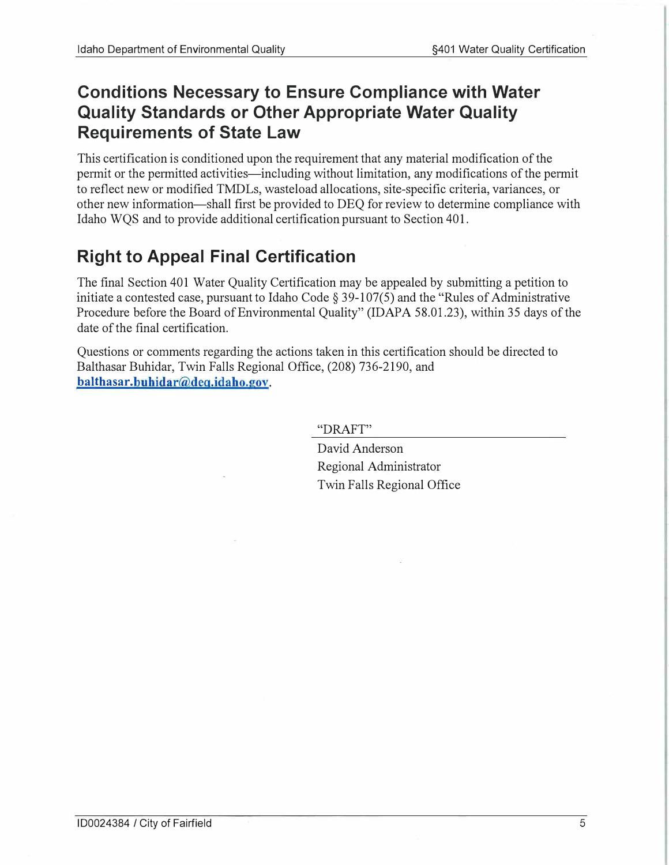# Conditions Necessary to Ensure Compliance with Water Quality Standards or Other Appropriate Water Quality Requirements of State Law

This certification is conditioned upon the requirement that any material modification of the permit or the permitted activities—including without limitation, any modifications of the permit to reflect new or modified TMDLs, wasteload allocations, site-specific criteria, variances, or other new information-shall first be provided to DEQ for review to determine compliance with Idaho WQS and to provide additional certification pursuant to Section 401.

# Right to Appeal Final Certification

The final Section 401 Water Quality Certification may be appealed by submitting a petition to initiate a contested case, pursuant to Idaho Code  $\S 39-107(5)$  and the "Rules of Administrative" Procedure before the Board of Environmental Quality" (IDAPA 58.01.23), within 35 days of the date of the final certification.

balthasar.buhidar@deq.idaho.gov. Questions or comments regarding the actions taken in this certification should be directed to Balthasar Buhidar, Twin Falls Regional Office, (208) 736-2190, and

"DRAFT"

David Anderson Regional Administrator Twin Falls Regional Office